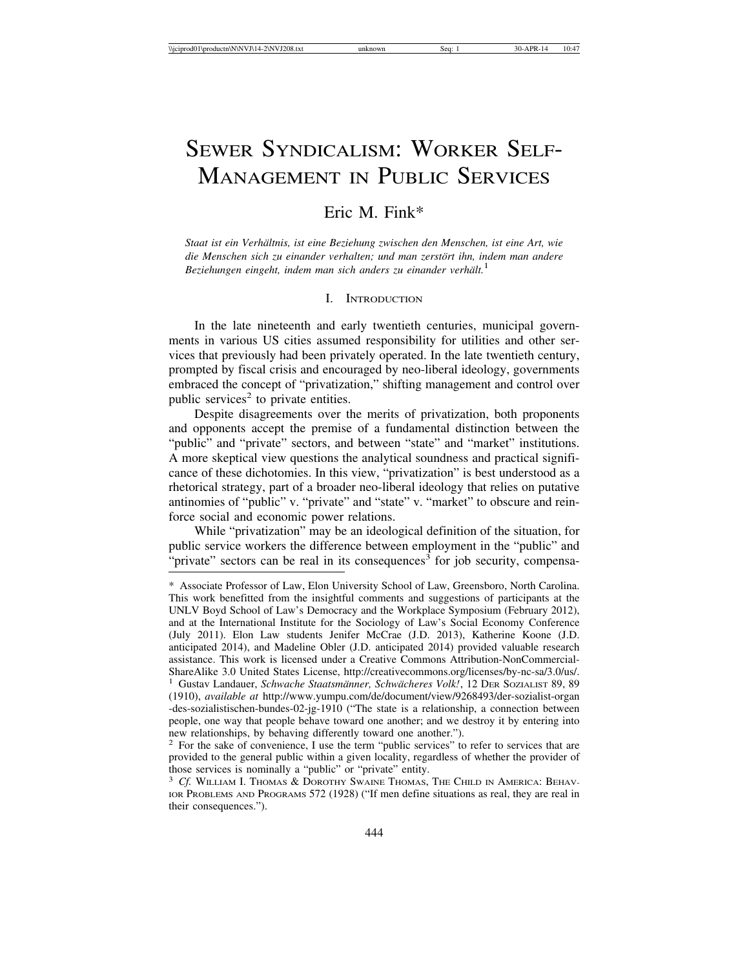# SEWER SYNDICALISM: WORKER SELF-MANAGEMENT IN PUBLIC SERVICES

## Eric M. Fink\*

*Staat ist ein Verh¨altnis, ist eine Beziehung zwischen den Menschen, ist eine Art, wie* die Menschen sich zu einander verhalten; und man zerstört ihn, indem man andere *Beziehungen eingeht, indem man sich anders zu einander verhält.*<sup>1</sup>

## I. INTRODUCTION

In the late nineteenth and early twentieth centuries, municipal governments in various US cities assumed responsibility for utilities and other services that previously had been privately operated. In the late twentieth century, prompted by fiscal crisis and encouraged by neo-liberal ideology, governments embraced the concept of "privatization," shifting management and control over public services<sup>2</sup> to private entities.

Despite disagreements over the merits of privatization, both proponents and opponents accept the premise of a fundamental distinction between the "public" and "private" sectors, and between "state" and "market" institutions. A more skeptical view questions the analytical soundness and practical significance of these dichotomies. In this view, "privatization" is best understood as a rhetorical strategy, part of a broader neo-liberal ideology that relies on putative antinomies of "public" v. "private" and "state" v. "market" to obscure and reinforce social and economic power relations.

While "privatization" may be an ideological definition of the situation, for public service workers the difference between employment in the "public" and "private" sectors can be real in its consequences<sup>3</sup> for job security, compensa-

<sup>\*</sup> Associate Professor of Law, Elon University School of Law, Greensboro, North Carolina. This work benefitted from the insightful comments and suggestions of participants at the UNLV Boyd School of Law's Democracy and the Workplace Symposium (February 2012), and at the International Institute for the Sociology of Law's Social Economy Conference (July 2011). Elon Law students Jenifer McCrae (J.D. 2013), Katherine Koone (J.D. anticipated 2014), and Madeline Obler (J.D. anticipated 2014) provided valuable research assistance. This work is licensed under a Creative Commons Attribution-NonCommercial-ShareAlike 3.0 United States License, http://creativecommons.org/licenses/by-nc-sa/3.0/us/. <sup>1</sup> Gustav Landauer, *Schwache Staatsmänner, Schwächeres Volk!*, 12 DER SOZIALIST 89, 89 (1910), *available at* http://www.yumpu.com/de/document/view/9268493/der-sozialist-organ -des-sozialistischen-bundes-02-jg-1910 ("The state is a relationship, a connection between people, one way that people behave toward one another; and we destroy it by entering into new relationships, by behaving differently toward one another.").

<sup>&</sup>lt;sup>2</sup> For the sake of convenience, I use the term "public services" to refer to services that are provided to the general public within a given locality, regardless of whether the provider of those services is nominally a "public" or "private" entity.

<sup>3</sup> *Cf.* WILLIAM I. THOMAS & DOROTHY SWAINE THOMAS, THE CHILD IN AMERICA: BEHAV-IOR PROBLEMS AND PROGRAMS 572 (1928) ("If men define situations as real, they are real in their consequences.").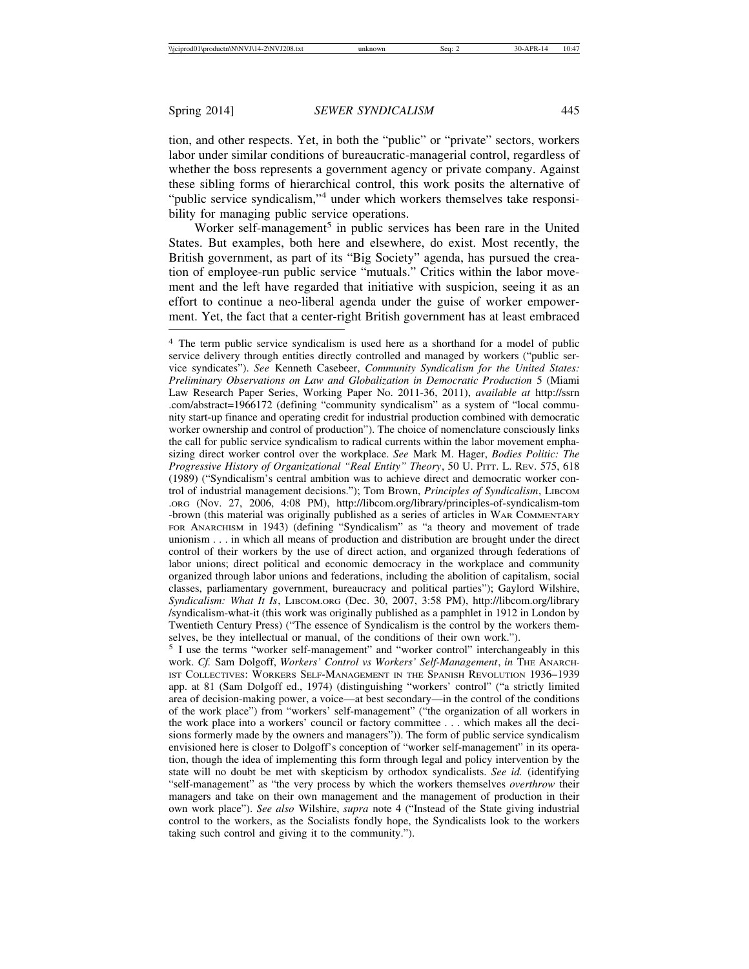tion, and other respects. Yet, in both the "public" or "private" sectors, workers labor under similar conditions of bureaucratic-managerial control, regardless of whether the boss represents a government agency or private company. Against these sibling forms of hierarchical control, this work posits the alternative of "public service syndicalism,"<sup>4</sup> under which workers themselves take responsibility for managing public service operations.

Worker self-management<sup>5</sup> in public services has been rare in the United States. But examples, both here and elsewhere, do exist. Most recently, the British government, as part of its "Big Society" agenda, has pursued the creation of employee-run public service "mutuals." Critics within the labor movement and the left have regarded that initiative with suspicion, seeing it as an effort to continue a neo-liberal agenda under the guise of worker empowerment. Yet, the fact that a center-right British government has at least embraced

<sup>5</sup> I use the terms "worker self-management" and "worker control" interchangeably in this work. *Cf.* Sam Dolgoff, *Workers' Control vs Workers' Self-Management*, *in* THE ANARCH-IST COLLECTIVES: WORKERS SELF-MANAGEMENT IN THE SPANISH REVOLUTION 1936-1939 app. at 81 (Sam Dolgoff ed., 1974) (distinguishing "workers' control" ("a strictly limited area of decision-making power, a voice—at best secondary—in the control of the conditions of the work place") from "workers' self-management" ("the organization of all workers in the work place into a workers' council or factory committee . . . which makes all the decisions formerly made by the owners and managers")). The form of public service syndicalism envisioned here is closer to Dolgoff's conception of "worker self-management" in its operation, though the idea of implementing this form through legal and policy intervention by the state will no doubt be met with skepticism by orthodox syndicalists. *See id.* (identifying "self-management" as "the very process by which the workers themselves *overthrow* their managers and take on their own management and the management of production in their own work place"). *See also* Wilshire, *supra* note 4 ("Instead of the State giving industrial control to the workers, as the Socialists fondly hope, the Syndicalists look to the workers taking such control and giving it to the community.").

<sup>4</sup> The term public service syndicalism is used here as a shorthand for a model of public service delivery through entities directly controlled and managed by workers ("public service syndicates"). *See* Kenneth Casebeer, *Community Syndicalism for the United States: Preliminary Observations on Law and Globalization in Democratic Production* 5 (Miami Law Research Paper Series, Working Paper No. 2011-36, 2011), *available at* http://ssrn .com/abstract=1966172 (defining "community syndicalism" as a system of "local community start-up finance and operating credit for industrial production combined with democratic worker ownership and control of production"). The choice of nomenclature consciously links the call for public service syndicalism to radical currents within the labor movement emphasizing direct worker control over the workplace. *See* Mark M. Hager, *Bodies Politic: The Progressive History of Organizational "Real Entity" Theory*, 50 U. PITT. L. REV. 575, 618 (1989) ("Syndicalism's central ambition was to achieve direct and democratic worker control of industrial management decisions."); Tom Brown, *Principles of Syndicalism*, LIBCOM .ORG (Nov. 27, 2006, 4:08 PM), http://libcom.org/library/principles-of-syndicalism-tom -brown (this material was originally published as a series of articles in WAR COMMENTARY FOR ANARCHISM in 1943) (defining "Syndicalism" as "a theory and movement of trade unionism . . . in which all means of production and distribution are brought under the direct control of their workers by the use of direct action, and organized through federations of labor unions; direct political and economic democracy in the workplace and community organized through labor unions and federations, including the abolition of capitalism, social classes, parliamentary government, bureaucracy and political parties"); Gaylord Wilshire, *Syndicalism: What It Is*, LIBCOM.ORG (Dec. 30, 2007, 3:58 PM), http://libcom.org/library /syndicalism-what-it (this work was originally published as a pamphlet in 1912 in London by Twentieth Century Press) ("The essence of Syndicalism is the control by the workers themselves, be they intellectual or manual, of the conditions of their own work.").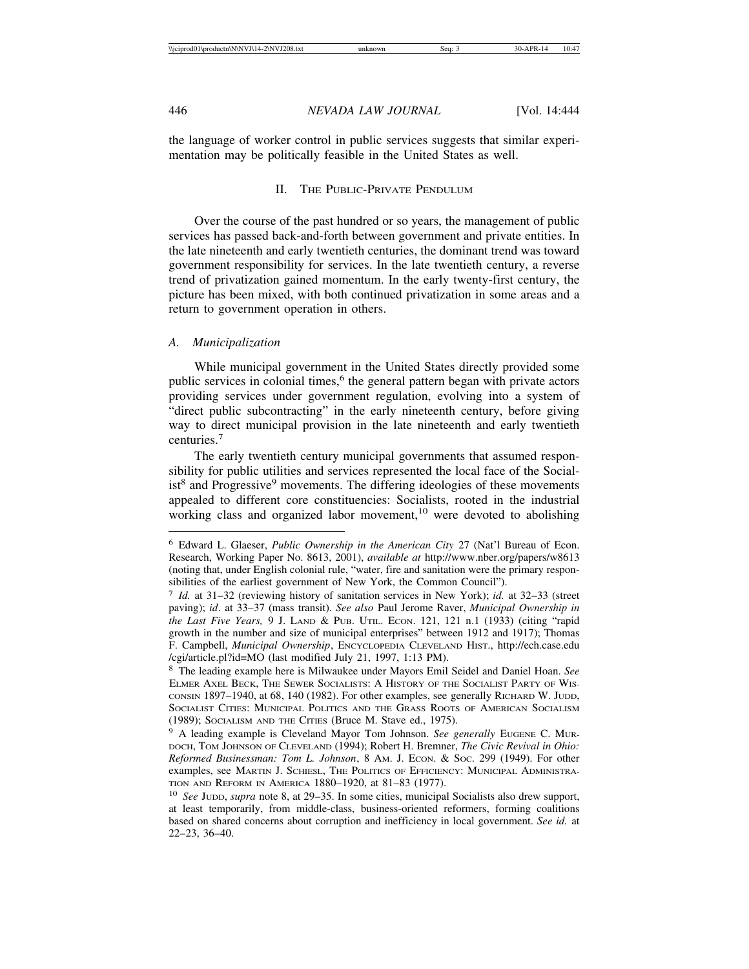the language of worker control in public services suggests that similar experimentation may be politically feasible in the United States as well.

## II. THE PUBLIC-PRIVATE PENDULUM

Over the course of the past hundred or so years, the management of public services has passed back-and-forth between government and private entities. In the late nineteenth and early twentieth centuries, the dominant trend was toward government responsibility for services. In the late twentieth century, a reverse trend of privatization gained momentum. In the early twenty-first century, the picture has been mixed, with both continued privatization in some areas and a return to government operation in others.

### *A. Municipalization*

While municipal government in the United States directly provided some public services in colonial times,<sup>6</sup> the general pattern began with private actors providing services under government regulation, evolving into a system of "direct public subcontracting" in the early nineteenth century, before giving way to direct municipal provision in the late nineteenth and early twentieth centuries.<sup>7</sup>

The early twentieth century municipal governments that assumed responsibility for public utilities and services represented the local face of the Socialist<sup>8</sup> and Progressive<sup>9</sup> movements. The differing ideologies of these movements appealed to different core constituencies: Socialists, rooted in the industrial working class and organized labor movement,<sup>10</sup> were devoted to abolishing

<sup>6</sup> Edward L. Glaeser, *Public Ownership in the American City* 27 (Nat'l Bureau of Econ. Research, Working Paper No. 8613, 2001), *available at* http://www.nber.org/papers/w8613 (noting that, under English colonial rule, "water, fire and sanitation were the primary responsibilities of the earliest government of New York, the Common Council").

<sup>7</sup> *Id.* at 31–32 (reviewing history of sanitation services in New York); *id.* at 32–33 (street paving); *id*. at 33–37 (mass transit). *See also* Paul Jerome Raver, *Municipal Ownership in the Last Five Years,* 9 J. LAND & PUB. UTIL. ECON. 121, 121 n.1 (1933) (citing "rapid growth in the number and size of municipal enterprises" between 1912 and 1917); Thomas F. Campbell, *Municipal Ownership*, ENCYCLOPEDIA CLEVELAND HIST., http://ech.case.edu /cgi/article.pl?id=MO (last modified July 21, 1997, 1:13 PM).

<sup>8</sup> The leading example here is Milwaukee under Mayors Emil Seidel and Daniel Hoan. *See* ELMER AXEL BECK, THE SEWER SOCIALISTS: A HISTORY OF THE SOCIALIST PARTY OF WIS-CONSIN 1897–1940, at 68, 140 (1982). For other examples, see generally RICHARD W. JUDD, SOCIALIST CITIES: MUNICIPAL POLITICS AND THE GRASS ROOTS OF AMERICAN SOCIALISM (1989); SOCIALISM AND THE CITIES (Bruce M. Stave ed., 1975).

<sup>&</sup>lt;sup>9</sup> A leading example is Cleveland Mayor Tom Johnson. See generally EUGENE C. MUR-DOCH, TOM JOHNSON OF CLEVELAND (1994); Robert H. Bremner, *The Civic Revival in Ohio: Reformed Businessman: Tom L. Johnson*, 8 AM. J. ECON. & SOC. 299 (1949). For other examples, see MARTIN J. SCHIESL, THE POLITICS OF EFFICIENCY: MUNICIPAL ADMINISTRA-TION AND REFORM IN AMERICA 1880–1920, at 81–83 (1977).

<sup>10</sup> *See* JUDD, *supra* note 8, at 29–35. In some cities, municipal Socialists also drew support, at least temporarily, from middle-class, business-oriented reformers, forming coalitions based on shared concerns about corruption and inefficiency in local government. *See id.* at 22–23, 36–40.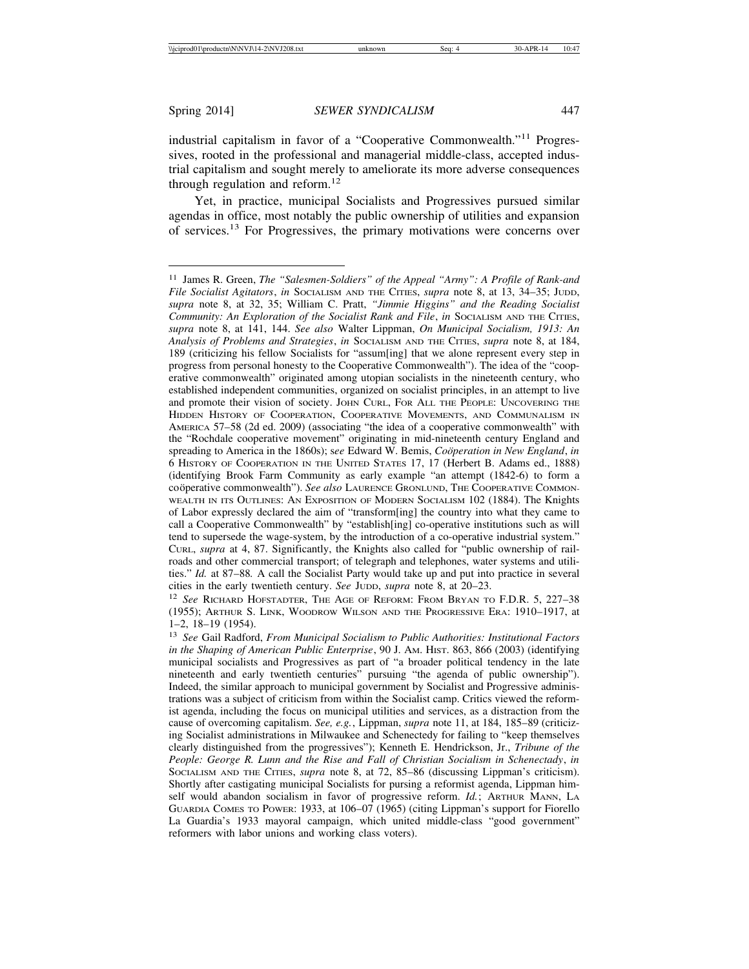industrial capitalism in favor of a "Cooperative Commonwealth."11 Progressives, rooted in the professional and managerial middle-class, accepted industrial capitalism and sought merely to ameliorate its more adverse consequences through regulation and reform.<sup>12</sup>

Yet, in practice, municipal Socialists and Progressives pursued similar agendas in office, most notably the public ownership of utilities and expansion of services.<sup>13</sup> For Progressives, the primary motivations were concerns over

<sup>12</sup> *See* RICHARD HOFSTADTER, THE AGE OF REFORM: FROM BRYAN TO F.D.R. 5, 227–38 (1955); ARTHUR S. LINK, WOODROW WILSON AND THE PROGRESSIVE ERA: 1910–1917, at 1–2, 18–19 (1954).

<sup>13</sup> *See* Gail Radford, *From Municipal Socialism to Public Authorities: Institutional Factors in the Shaping of American Public Enterprise*, 90 J. AM. HIST. 863, 866 (2003) (identifying municipal socialists and Progressives as part of "a broader political tendency in the late nineteenth and early twentieth centuries" pursuing "the agenda of public ownership"). Indeed, the similar approach to municipal government by Socialist and Progressive administrations was a subject of criticism from within the Socialist camp. Critics viewed the reformist agenda, including the focus on municipal utilities and services, as a distraction from the cause of overcoming capitalism. *See, e.g.*, Lippman, *supra* note 11, at 184, 185–89 (criticizing Socialist administrations in Milwaukee and Schenectedy for failing to "keep themselves clearly distinguished from the progressives"); Kenneth E. Hendrickson, Jr., *Tribune of the People: George R. Lunn and the Rise and Fall of Christian Socialism in Schenectady*, *in* SOCIALISM AND THE CITIES, *supra* note 8, at 72, 85–86 (discussing Lippman's criticism). Shortly after castigating municipal Socialists for pursing a reformist agenda, Lippman himself would abandon socialism in favor of progressive reform. *Id.*; ARTHUR MANN, LA GUARDIA COMES TO POWER: 1933, at 106–07 (1965) (citing Lippman's support for Fiorello La Guardia's 1933 mayoral campaign, which united middle-class "good government" reformers with labor unions and working class voters).

<sup>11</sup> James R. Green, *The "Salesmen-Soldiers" of the Appeal "Army": A Profile of Rank-and File Socialist Agitators*, *in* SOCIALISM AND THE CITIES, *supra* note 8, at 13, 34–35; JUDD, *supra* note 8, at 32, 35; William C. Pratt, *"Jimmie Higgins" and the Reading Socialist Community: An Exploration of the Socialist Rank and File, in Socialism AND THE CITIES, supra* note 8, at 141, 144. *See also* Walter Lippman, *On Municipal Socialism, 1913: An Analysis of Problems and Strategies*, *in* SOCIALISM AND THE CITIES, *supra* note 8, at 184, 189 (criticizing his fellow Socialists for "assum[ing] that we alone represent every step in progress from personal honesty to the Cooperative Commonwealth"). The idea of the "cooperative commonwealth" originated among utopian socialists in the nineteenth century, who established independent communities, organized on socialist principles, in an attempt to live and promote their vision of society. JOHN CURL, FOR ALL THE PEOPLE: UNCOVERING THE HIDDEN HISTORY OF COOPERATION, COOPERATIVE MOVEMENTS, AND COMMUNALISM IN AMERICA 57–58 (2d ed. 2009) (associating "the idea of a cooperative commonwealth" with the "Rochdale cooperative movement" originating in mid-nineteenth century England and spreading to America in the 1860s); see Edward W. Bemis, *Coöperation in New England*, *in* 6 HISTORY OF COOPERATION IN THE UNITED STATES 17, 17 (Herbert B. Adams ed., 1888) (identifying Brook Farm Community as early example "an attempt (1842-6) to form a coöperative commonwealth"). See also LAURENCE GRONLUND, THE COOPERATIVE COMMON-WEALTH IN ITS OUTLINES: AN EXPOSITION OF MODERN SOCIALISM 102 (1884). The Knights of Labor expressly declared the aim of "transform[ing] the country into what they came to call a Cooperative Commonwealth" by "establish[ing] co-operative institutions such as will tend to supersede the wage-system, by the introduction of a co-operative industrial system." CURL, *supra* at 4, 87. Significantly, the Knights also called for "public ownership of railroads and other commercial transport; of telegraph and telephones, water systems and utilities." *Id.* at 87–88*.* A call the Socialist Party would take up and put into practice in several cities in the early twentieth century. *See* JUDD, *supra* note 8, at 20–23.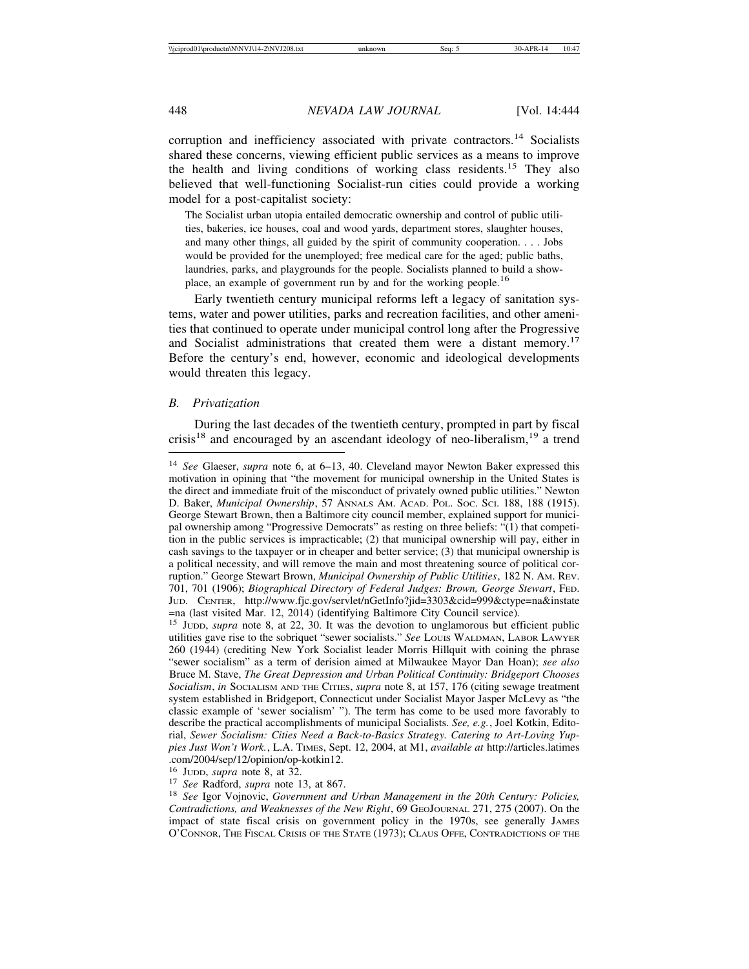corruption and inefficiency associated with private contractors.<sup>14</sup> Socialists shared these concerns, viewing efficient public services as a means to improve the health and living conditions of working class residents.15 They also believed that well-functioning Socialist-run cities could provide a working model for a post-capitalist society:

The Socialist urban utopia entailed democratic ownership and control of public utilities, bakeries, ice houses, coal and wood yards, department stores, slaughter houses, and many other things, all guided by the spirit of community cooperation. . . . Jobs would be provided for the unemployed; free medical care for the aged; public baths, laundries, parks, and playgrounds for the people. Socialists planned to build a showplace, an example of government run by and for the working people.<sup>16</sup>

Early twentieth century municipal reforms left a legacy of sanitation systems, water and power utilities, parks and recreation facilities, and other amenities that continued to operate under municipal control long after the Progressive and Socialist administrations that created them were a distant memory.<sup>17</sup> Before the century's end, however, economic and ideological developments would threaten this legacy.

## *B. Privatization*

During the last decades of the twentieth century, prompted in part by fiscal crisis<sup>18</sup> and encouraged by an ascendant ideology of neo-liberalism, <sup>19</sup> a trend

<sup>14</sup> *See* Glaeser, *supra* note 6, at 6–13, 40. Cleveland mayor Newton Baker expressed this motivation in opining that "the movement for municipal ownership in the United States is the direct and immediate fruit of the misconduct of privately owned public utilities." Newton D. Baker, *Municipal Ownership*, 57 ANNALS AM. ACAD. POL. SOC. SCI. 188, 188 (1915). George Stewart Brown, then a Baltimore city council member, explained support for municipal ownership among "Progressive Democrats" as resting on three beliefs: "(1) that competition in the public services is impracticable; (2) that municipal ownership will pay, either in cash savings to the taxpayer or in cheaper and better service; (3) that municipal ownership is a political necessity, and will remove the main and most threatening source of political corruption." George Stewart Brown, *Municipal Ownership of Public Utilities*, 182 N. AM. REV. 701, 701 (1906); *Biographical Directory of Federal Judges: Brown, George Stewart*, FED. JUD. CENTER, http://www.fjc.gov/servlet/nGetInfo?jid=3303&cid=999&ctype=na&instate =na (last visited Mar. 12, 2014) (identifying Baltimore City Council service).

<sup>&</sup>lt;sup>15</sup> Jupp, *supra* note 8, at 22, 30. It was the devotion to unglamorous but efficient public utilities gave rise to the sobriquet "sewer socialists." *See* LOUIS WALDMAN, LABOR LAWYER 260 (1944) (crediting New York Socialist leader Morris Hillquit with coining the phrase "sewer socialism" as a term of derision aimed at Milwaukee Mayor Dan Hoan); *see also* Bruce M. Stave, *The Great Depression and Urban Political Continuity: Bridgeport Chooses Socialism*, *in* SOCIALISM AND THE CITIES, *supra* note 8, at 157, 176 (citing sewage treatment system established in Bridgeport, Connecticut under Socialist Mayor Jasper McLevy as "the classic example of 'sewer socialism' "). The term has come to be used more favorably to describe the practical accomplishments of municipal Socialists. *See, e.g.*, Joel Kotkin, Editorial, *Sewer Socialism: Cities Need a Back-to-Basics Strategy. Catering to Art-Loving Yuppies Just Won't Work.*, L.A. TIMES, Sept. 12, 2004, at M1, *available at* http://articles.latimes .com/2004/sep/12/opinion/op-kotkin12.<br><sup>16</sup> Jupp, *supra* note 8, at 32.

<sup>&</sup>lt;sup>17</sup> See Radford, *supra* note 13, at 867.<br><sup>18</sup> See Igor Vojnovic, *Government and Urban Management in the 20th Century: Policies, Contradictions, and Weaknesses of the New Right*, 69 GEOJOURNAL 271, 275 (2007). On the impact of state fiscal crisis on government policy in the 1970s, see generally JAMES O'CONNOR, THE FISCAL CRISIS OF THE STATE (1973); CLAUS OFFE, CONTRADICTIONS OF THE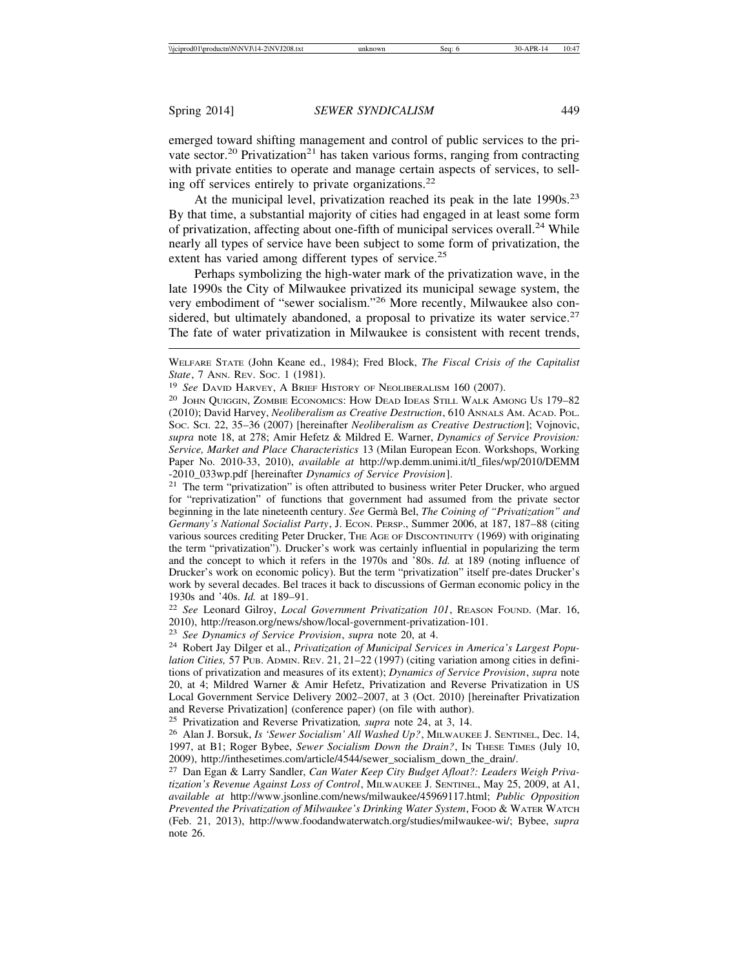emerged toward shifting management and control of public services to the private sector.<sup>20</sup> Privatization<sup>21</sup> has taken various forms, ranging from contracting with private entities to operate and manage certain aspects of services, to selling off services entirely to private organizations.<sup>22</sup>

At the municipal level, privatization reached its peak in the late 1990s.<sup>23</sup> By that time, a substantial majority of cities had engaged in at least some form of privatization, affecting about one-fifth of municipal services overall.<sup>24</sup> While nearly all types of service have been subject to some form of privatization, the extent has varied among different types of service.<sup>25</sup>

Perhaps symbolizing the high-water mark of the privatization wave, in the late 1990s the City of Milwaukee privatized its municipal sewage system, the very embodiment of "sewer socialism."26 More recently, Milwaukee also considered, but ultimately abandoned, a proposal to privatize its water service.<sup>27</sup> The fate of water privatization in Milwaukee is consistent with recent trends,

<sup>20</sup> JOHN QUIGGIN, ZOMBIE ECONOMICS: HOW DEAD IDEAS STILL WALK AMONG US 179–82 (2010); David Harvey, *Neoliberalism as Creative Destruction*, 610 ANNALS AM. ACAD. POL. SOC. SCI. 22, 35–36 (2007) [hereinafter *Neoliberalism as Creative Destruction*]; Vojnovic, *supra* note 18, at 278; Amir Hefetz & Mildred E. Warner, *Dynamics of Service Provision: Service, Market and Place Characteristics* 13 (Milan European Econ. Workshops, Working Paper No. 2010-33, 2010), *available at* http://wp.demm.unimi.it/tl\_files/wp/2010/DEMM -2010\_033wp.pdf [hereinafter *Dynamics of Service Provision*].

<sup>21</sup> The term "privatization" is often attributed to business writer Peter Drucker, who argued for "reprivatization" of functions that government had assumed from the private sector beginning in the late nineteenth century. *See* Germ`a Bel, *The Coining of "Privatization" and Germany's National Socialist Party*, J. ECON. PERSP., Summer 2006, at 187, 187–88 (citing various sources crediting Peter Drucker, THE AGE OF DISCONTINUITY (1969) with originating the term "privatization"). Drucker's work was certainly influential in popularizing the term and the concept to which it refers in the 1970s and '80s. *Id.* at 189 (noting influence of Drucker's work on economic policy). But the term "privatization" itself pre-dates Drucker's work by several decades. Bel traces it back to discussions of German economic policy in the 1930s and '40s. *Id.* at 189–91.

<sup>22</sup> *See* Leonard Gilroy, *Local Government Privatization 101*, REASON FOUND. (Mar. 16, 2010), http://reason.org/news/show/local-government-privatization-101.

<sup>23</sup> *See Dynamics of Service Provision*, *supra* note 20, at 4.

<sup>24</sup> Robert Jay Dilger et al., *Privatization of Municipal Services in America's Largest Population Cities,* 57 PUB. ADMIN. REV. 21, 21–22 (1997) (citing variation among cities in definitions of privatization and measures of its extent); *Dynamics of Service Provision*, *supra* note 20, at 4; Mildred Warner & Amir Hefetz, Privatization and Reverse Privatization in US Local Government Service Delivery 2002–2007, at 3 (Oct. 2010) [hereinafter Privatization and Reverse Privatization] (conference paper) (on file with author).

<sup>25</sup> Privatization and Reverse Privatization*, supra* note 24, at 3, 14.

<sup>26</sup> Alan J. Borsuk, *Is 'Sewer Socialism' All Washed Up?*, MILWAUKEE J. SENTINEL, Dec. 14, 1997, at B1; Roger Bybee, *Sewer Socialism Down the Drain?*, IN THESE TIMES (July 10, 2009), http://inthesetimes.com/article/4544/sewer\_socialism\_down\_the\_drain/.

<sup>27</sup> Dan Egan & Larry Sandler, *Can Water Keep City Budget Afloat?: Leaders Weigh Privatization's Revenue Against Loss of Control*, MILWAUKEE J. SENTINEL, May 25, 2009, at A1, *available at* http://www.jsonline.com/news/milwaukee/45969117.html; *Public Opposition Prevented the Privatization of Milwaukee's Drinking Water System*, FOOD & WATER WATCH (Feb. 21, 2013), http://www.foodandwaterwatch.org/studies/milwaukee-wi/; Bybee, *supra* note 26.

WELFARE STATE (John Keane ed., 1984); Fred Block, *The Fiscal Crisis of the Capitalist State*, 7 ANN. REV. Soc. 1 (1981).

<sup>19</sup> *See* DAVID HARVEY, A BRIEF HISTORY OF NEOLIBERALISM 160 (2007).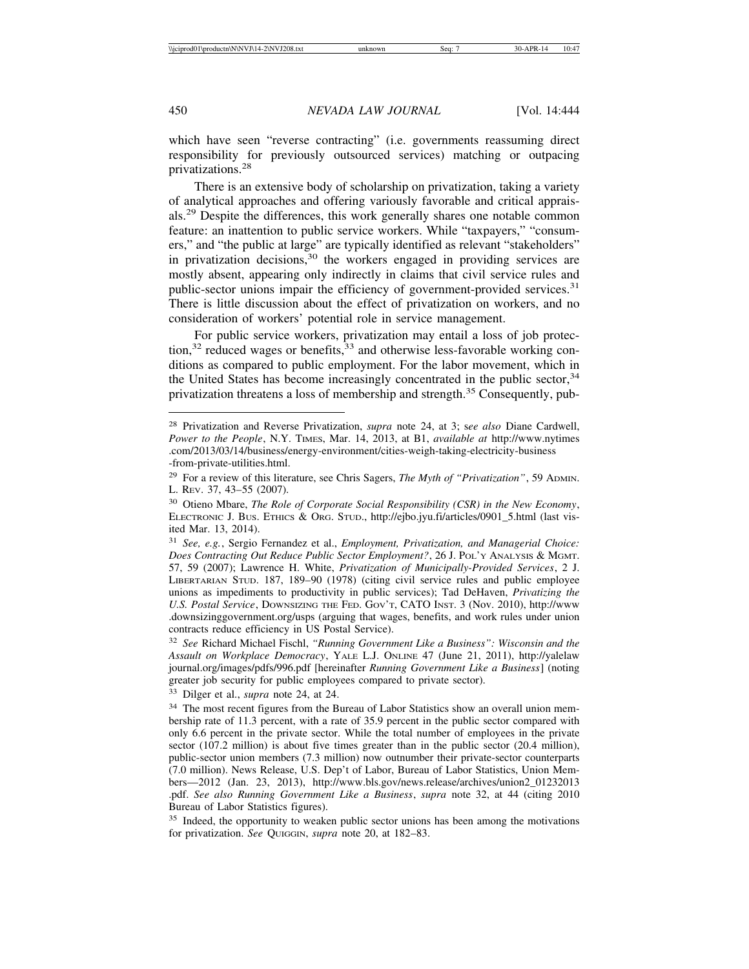which have seen "reverse contracting" (i.e. governments reassuming direct responsibility for previously outsourced services) matching or outpacing privatizations.<sup>28</sup>

There is an extensive body of scholarship on privatization, taking a variety of analytical approaches and offering variously favorable and critical appraisals.29 Despite the differences, this work generally shares one notable common feature: an inattention to public service workers. While "taxpayers," "consumers," and "the public at large" are typically identified as relevant "stakeholders" in privatization decisions,<sup>30</sup> the workers engaged in providing services are mostly absent, appearing only indirectly in claims that civil service rules and public-sector unions impair the efficiency of government-provided services.<sup>31</sup> There is little discussion about the effect of privatization on workers, and no consideration of workers' potential role in service management.

For public service workers, privatization may entail a loss of job protec- $\frac{1}{2}$  reduced wages or benefits,  $\frac{1}{2}$  and otherwise less-favorable working conditions as compared to public employment. For the labor movement, which in the United States has become increasingly concentrated in the public sector,<sup>34</sup> privatization threatens a loss of membership and strength.<sup>35</sup> Consequently, pub-

<sup>33</sup> Dilger et al., *supra* note 24, at 24.

<sup>28</sup> Privatization and Reverse Privatization, *supra* note 24, at 3; s*ee also* Diane Cardwell, *Power to the People*, N.Y. TIMES, Mar. 14, 2013, at B1, *available at* http://www.nytimes .com/2013/03/14/business/energy-environment/cities-weigh-taking-electricity-business -from-private-utilities.html.

<sup>29</sup> For a review of this literature, see Chris Sagers, *The Myth of "Privatization"*, 59 ADMIN. L. REV. 37, 43–55 (2007).

<sup>30</sup> Otieno Mbare, *The Role of Corporate Social Responsibility (CSR) in the New Economy*, ELECTRONIC J. BUS. ETHICS & ORG. STUD., http://ejbo.jyu.fi/articles/0901\_5.html (last visited Mar. 13, 2014).

<sup>31</sup> *See, e.g.*, Sergio Fernandez et al., *Employment, Privatization, and Managerial Choice: Does Contracting Out Reduce Public Sector Employment?*, 26 J. POL'Y ANALYSIS & MGMT. 57, 59 (2007); Lawrence H. White, *Privatization of Municipally-Provided Services*, 2 J. LIBERTARIAN STUD. 187, 189–90 (1978) (citing civil service rules and public employee unions as impediments to productivity in public services); Tad DeHaven, *Privatizing the U.S. Postal Service*, DOWNSIZING THE FED. GOV'T, CATO INST. 3 (Nov. 2010), http://www .downsizinggovernment.org/usps (arguing that wages, benefits, and work rules under union contracts reduce efficiency in US Postal Service).

<sup>32</sup> *See* Richard Michael Fischl, *"Running Government Like a Business": Wisconsin and the Assault on Workplace Democracy*, YALE L.J. ONLINE 47 (June 21, 2011), http://yalelaw journal.org/images/pdfs/996.pdf [hereinafter *Running Government Like a Business*] (noting greater job security for public employees compared to private sector).

<sup>&</sup>lt;sup>34</sup> The most recent figures from the Bureau of Labor Statistics show an overall union membership rate of 11.3 percent, with a rate of 35.9 percent in the public sector compared with only 6.6 percent in the private sector. While the total number of employees in the private sector (107.2 million) is about five times greater than in the public sector (20.4 million), public-sector union members (7.3 million) now outnumber their private-sector counterparts (7.0 million). News Release, U.S. Dep't of Labor, Bureau of Labor Statistics, Union Members—2012 (Jan. 23, 2013), http://www.bls.gov/news.release/archives/union2\_01232013 .pdf. *See also Running Government Like a Business*, *supra* note 32, at 44 (citing 2010 Bureau of Labor Statistics figures).

<sup>&</sup>lt;sup>35</sup> Indeed, the opportunity to weaken public sector unions has been among the motivations for privatization. *See* QUIGGIN, *supra* note 20, at 182–83.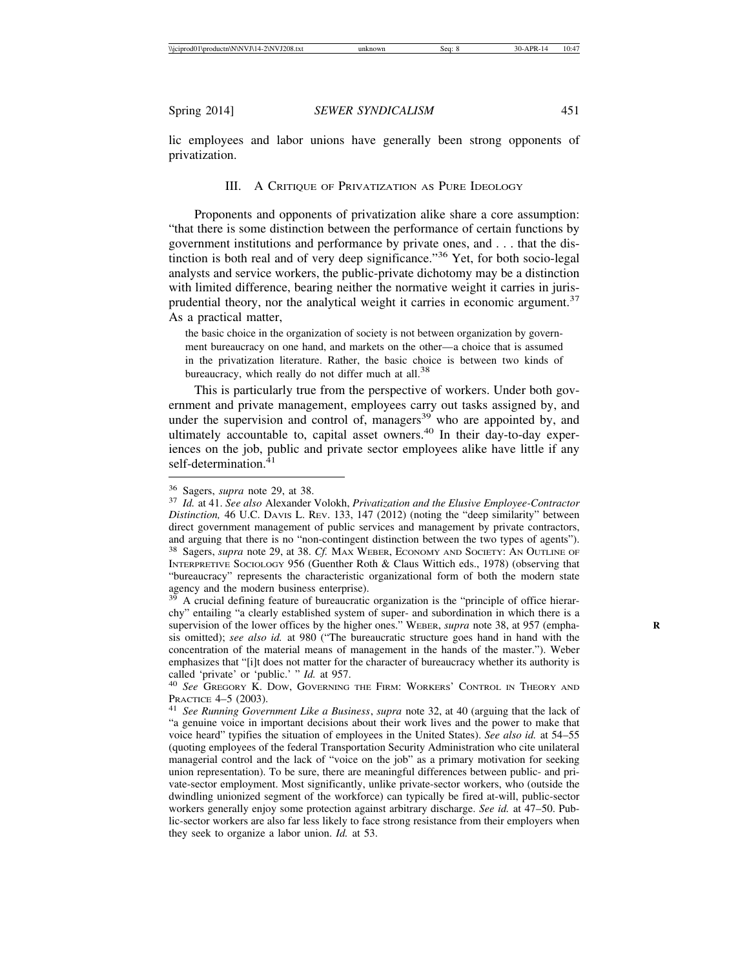lic employees and labor unions have generally been strong opponents of privatization.

## III. A CRITIQUE OF PRIVATIZATION AS PURE IDEOLOGY

Proponents and opponents of privatization alike share a core assumption: "that there is some distinction between the performance of certain functions by government institutions and performance by private ones, and . . . that the distinction is both real and of very deep significance."36 Yet, for both socio-legal analysts and service workers, the public-private dichotomy may be a distinction with limited difference, bearing neither the normative weight it carries in jurisprudential theory, nor the analytical weight it carries in economic argument.<sup>37</sup> As a practical matter,

the basic choice in the organization of society is not between organization by government bureaucracy on one hand, and markets on the other—a choice that is assumed in the privatization literature. Rather, the basic choice is between two kinds of bureaucracy, which really do not differ much at all.<sup>38</sup>

This is particularly true from the perspective of workers. Under both government and private management, employees carry out tasks assigned by, and under the supervision and control of, managers $39$  who are appointed by, and ultimately accountable to, capital asset owners.<sup>40</sup> In their day-to-day experiences on the job, public and private sector employees alike have little if any self-determination.<sup>41</sup>

 $39$  A crucial defining feature of bureaucratic organization is the "principle of office hierarchy" entailing "a clearly established system of super- and subordination in which there is a supervision of the lower offices by the higher ones." WEBER, *supra* note 38, at 957 (emphasis omitted); *see also id.* at 980 ("The bureaucratic structure goes hand in hand with the concentration of the material means of management in the hands of the master."). Weber emphasizes that "[i]t does not matter for the character of bureaucracy whether its authority is called 'private' or 'public.' " *Id.* at 957.<br><sup>40</sup> *See* Gregory K. Dow, Governing the Firm: Workers' Control in Theory and

PRACTICE 4–5 (2003).<br><sup>41</sup> *See Running Government Like a Business, supra* note 32, at 40 (arguing that the lack of

"a genuine voice in important decisions about their work lives and the power to make that voice heard" typifies the situation of employees in the United States). *See also id.* at 54–55 (quoting employees of the federal Transportation Security Administration who cite unilateral managerial control and the lack of "voice on the job" as a primary motivation for seeking union representation). To be sure, there are meaningful differences between public- and private-sector employment. Most significantly, unlike private-sector workers, who (outside the dwindling unionized segment of the workforce) can typically be fired at-will, public-sector workers generally enjoy some protection against arbitrary discharge. *See id.* at 47–50. Public-sector workers are also far less likely to face strong resistance from their employers when they seek to organize a labor union. *Id.* at 53.

<sup>36</sup> Sagers, *supra* note 29, at 38. <sup>37</sup> *Id.* at 41. *See also* Alexander Volokh, *Privatization and the Elusive Employee-Contractor Distinction,* 46 U.C. DAVIS L. REV. 133, 147 (2012) (noting the "deep similarity" between direct government management of public services and management by private contractors, and arguing that there is no "non-contingent distinction between the two types of agents"). <sup>38</sup> Sagers, *supra* note 29, at 38. *Cf.* MAX WEBER, ECONOMY AND SOCIETY: AN OUTLINE OF INTERPRETIVE SOCIOLOGY 956 (Guenther Roth & Claus Wittich eds., 1978) (observing that "bureaucracy" represents the characteristic organizational form of both the modern state agency and the modern business enterprise).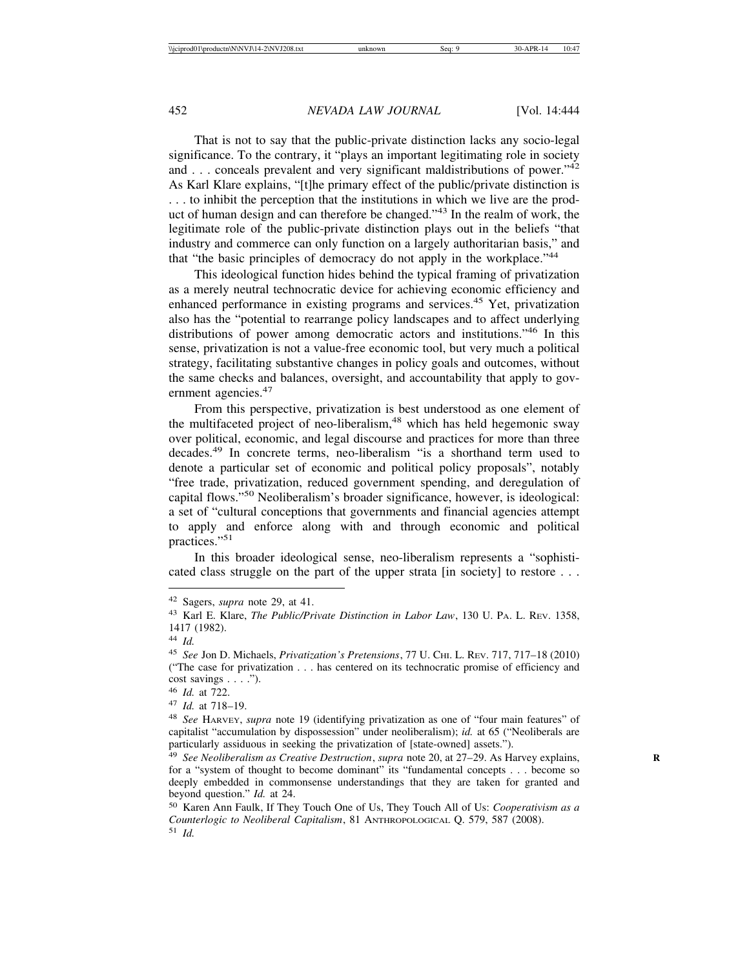That is not to say that the public-private distinction lacks any socio-legal significance. To the contrary, it "plays an important legitimating role in society and . . . conceals prevalent and very significant maldistributions of power."<sup>42</sup> As Karl Klare explains, "[t]he primary effect of the public/private distinction is . . . to inhibit the perception that the institutions in which we live are the product of human design and can therefore be changed."43 In the realm of work, the legitimate role of the public-private distinction plays out in the beliefs "that industry and commerce can only function on a largely authoritarian basis," and that "the basic principles of democracy do not apply in the workplace."<sup>44</sup>

This ideological function hides behind the typical framing of privatization as a merely neutral technocratic device for achieving economic efficiency and enhanced performance in existing programs and services.45 Yet, privatization also has the "potential to rearrange policy landscapes and to affect underlying distributions of power among democratic actors and institutions."46 In this sense, privatization is not a value-free economic tool, but very much a political strategy, facilitating substantive changes in policy goals and outcomes, without the same checks and balances, oversight, and accountability that apply to government agencies.<sup>47</sup>

From this perspective, privatization is best understood as one element of the multifaceted project of neo-liberalism,<sup>48</sup> which has held hegemonic sway over political, economic, and legal discourse and practices for more than three decades.49 In concrete terms, neo-liberalism "is a shorthand term used to denote a particular set of economic and political policy proposals", notably "free trade, privatization, reduced government spending, and deregulation of capital flows."50 Neoliberalism's broader significance, however, is ideological: a set of "cultural conceptions that governments and financial agencies attempt to apply and enforce along with and through economic and political practices."<sup>51</sup>

In this broader ideological sense, neo-liberalism represents a "sophisticated class struggle on the part of the upper strata [in society] to restore . . .

<sup>42</sup> Sagers, *supra* note 29, at 41.

<sup>43</sup> Karl E. Klare, *The Public/Private Distinction in Labor Law*, 130 U. PA. L. REV. 1358, 1417 (1982).

<sup>44</sup> *Id.*

<sup>45</sup> *See* Jon D. Michaels, *Privatization's Pretensions*, 77 U. CHI. L. REV. 717, 717–18 (2010) ("The case for privatization . . . has centered on its technocratic promise of efficiency and cost savings . . . .").

<sup>46</sup> *Id.* at 722.

<sup>47</sup> *Id.* at 718–19.

<sup>48</sup> *See* HARVEY, *supra* note 19 (identifying privatization as one of "four main features" of capitalist "accumulation by dispossession" under neoliberalism); *id.* at 65 ("Neoliberals are particularly assiduous in seeking the privatization of [state-owned] assets.").

<sup>49</sup> *See Neoliberalism as Creative Destruction*, *supra* note 20, at 27–29. As Harvey explains, **R** for a "system of thought to become dominant" its "fundamental concepts . . . become so deeply embedded in commonsense understandings that they are taken for granted and beyond question." *Id.* at 24.

<sup>50</sup> Karen Ann Faulk, If They Touch One of Us, They Touch All of Us: *Cooperativism as a Counterlogic to Neoliberal Capitalism*, 81 ANTHROPOLOGICAL Q. 579, 587 (2008). <sup>51</sup> *Id.*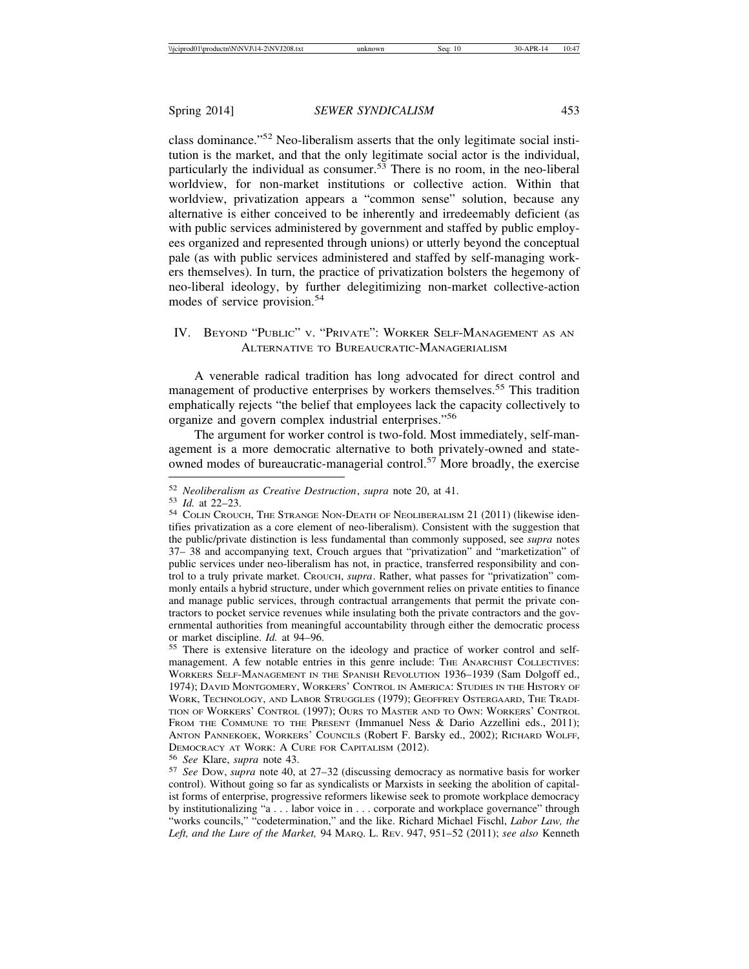class dominance."52 Neo-liberalism asserts that the only legitimate social institution is the market, and that the only legitimate social actor is the individual, particularly the individual as consumer.<sup>53</sup> There is no room, in the neo-liberal worldview, for non-market institutions or collective action. Within that worldview, privatization appears a "common sense" solution, because any alternative is either conceived to be inherently and irredeemably deficient (as with public services administered by government and staffed by public employees organized and represented through unions) or utterly beyond the conceptual pale (as with public services administered and staffed by self-managing workers themselves). In turn, the practice of privatization bolsters the hegemony of neo-liberal ideology, by further delegitimizing non-market collective-action modes of service provision.<sup>54</sup>

## IV. BEYOND "PUBLIC" V. "PRIVATE": WORKER SELF-MANAGEMENT AS AN ALTERNATIVE TO BUREAUCRATIC-MANAGERIALISM

A venerable radical tradition has long advocated for direct control and management of productive enterprises by workers themselves.<sup>55</sup> This tradition emphatically rejects "the belief that employees lack the capacity collectively to organize and govern complex industrial enterprises."<sup>56</sup>

The argument for worker control is two-fold. Most immediately, self-management is a more democratic alternative to both privately-owned and stateowned modes of bureaucratic-managerial control.57 More broadly, the exercise

<sup>52</sup> *Neoliberalism as Creative Destruction*, *supra* note 20, at 41.<br>53 *Id.* at 22–23.<br>54 COLIN CROUCH, THE STRANGE NON-DEATH OF NEOLIBERALISM 21 (2011) (likewise identifies privatization as a core element of neo-liberalism). Consistent with the suggestion that the public/private distinction is less fundamental than commonly supposed, see *supra* notes 37– 38 and accompanying text, Crouch argues that "privatization" and "marketization" of public services under neo-liberalism has not, in practice, transferred responsibility and control to a truly private market. CROUCH, *supra*. Rather, what passes for "privatization" commonly entails a hybrid structure, under which government relies on private entities to finance and manage public services, through contractual arrangements that permit the private contractors to pocket service revenues while insulating both the private contractors and the governmental authorities from meaningful accountability through either the democratic process

or market discipline. *Id.* at 94–96.<br><sup>55</sup> There is extensive literature on the ideology and practice of worker control and selfmanagement. A few notable entries in this genre include: THE ANARCHIST COLLECTIVES: WORKERS SELF-MANAGEMENT IN THE SPANISH REVOLUTION 1936–1939 (Sam Dolgoff ed., 1974); DAVID MONTGOMERY, WORKERS' CONTROL IN AMERICA: STUDIES IN THE HISTORY OF WORK, TECHNOLOGY, AND LABOR STRUGGLES (1979); GEOFFREY OSTERGAARD, THE TRADI-TION OF WORKERS' CONTROL (1997); OURS TO MASTER AND TO OWN: WORKERS' CONTROL FROM THE COMMUNE TO THE PRESENT (Immanuel Ness & Dario Azzellini eds., 2011); ANTON PANNEKOEK, WORKERS' COUNCILS (Robert F. Barsky ed., 2002); RICHARD WOLFF, DEMOCRACY AT WORK: A CURE FOR CAPITALISM (2012).

DEMOCRACY AT WORK: A CURE FOR CAPITALISM (2012). <sup>56</sup> *See* Klare, *supra* note 43. <sup>57</sup> *See* DOW, *supra* note 40, at 27–32 (discussing democracy as normative basis for worker control). Without going so far as syndicalists or Marxists in seeking the abolition of capitalist forms of enterprise, progressive reformers likewise seek to promote workplace democracy by institutionalizing "a . . . labor voice in . . . corporate and workplace governance" through "works councils," "codetermination," and the like. Richard Michael Fischl, *Labor Law, the Left, and the Lure of the Market,* 94 MARQ. L. REV. 947, 951–52 (2011); *see also* Kenneth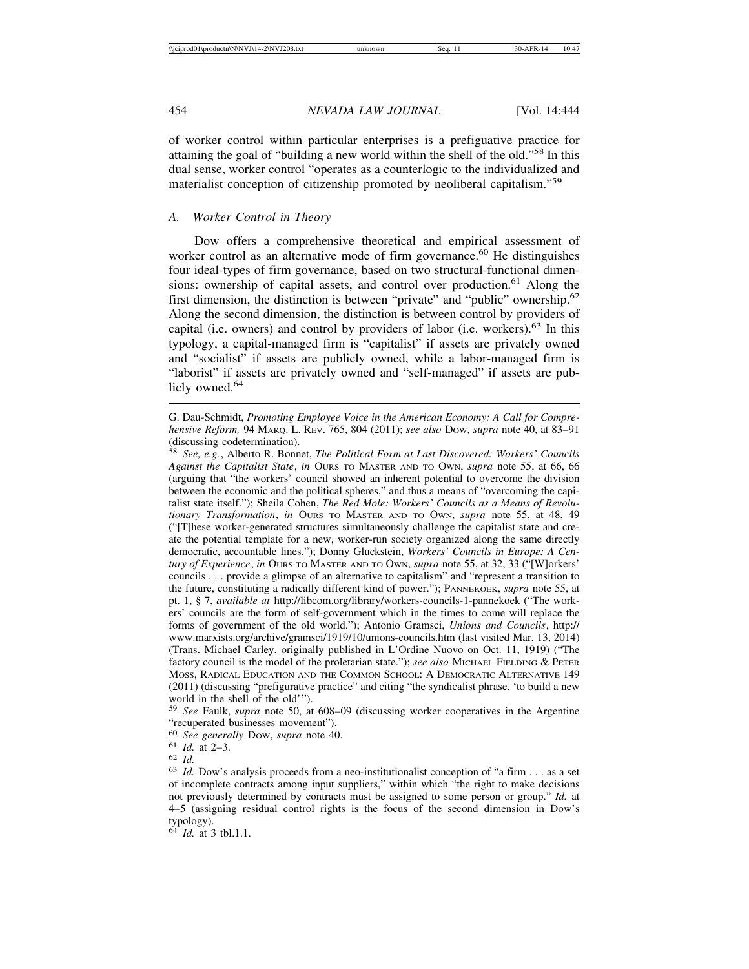of worker control within particular enterprises is a prefiguative practice for attaining the goal of "building a new world within the shell of the old."58 In this dual sense, worker control "operates as a counterlogic to the individualized and materialist conception of citizenship promoted by neoliberal capitalism."<sup>59</sup>

## *A. Worker Control in Theory*

Dow offers a comprehensive theoretical and empirical assessment of worker control as an alternative mode of firm governance.<sup>60</sup> He distinguishes four ideal-types of firm governance, based on two structural-functional dimensions: ownership of capital assets, and control over production.<sup>61</sup> Along the first dimension, the distinction is between "private" and "public" ownership.<sup>62</sup> Along the second dimension, the distinction is between control by providers of capital (i.e. owners) and control by providers of labor (i.e. workers). $63$  In this typology, a capital-managed firm is "capitalist" if assets are privately owned and "socialist" if assets are publicly owned, while a labor-managed firm is "laborist" if assets are privately owned and "self-managed" if assets are publicly owned.<sup>64</sup>

<sup>59</sup> *See* Faulk, *supra* note 50, at 608–09 (discussing worker cooperatives in the Argentine "recuperated businesses movement").<br><sup>60</sup> See generally Dow, supra note 40.

<sup>64</sup> *Id.* at 3 tbl.1.1.

G. Dau-Schmidt, *Promoting Employee Voice in the American Economy: A Call for Comprehensive Reform,* 94 MARQ. L. REV. 765, 804 (2011); *see also* DOW, *supra* note 40, at 83–91 (discussing codetermination).

<sup>58</sup> *See, e.g.*, Alberto R. Bonnet, *The Political Form at Last Discovered: Workers' Councils Against the Capitalist State*, *in* OURS TO MASTER AND TO OWN, *supra* note 55, at 66, 66 (arguing that "the workers' council showed an inherent potential to overcome the division between the economic and the political spheres," and thus a means of "overcoming the capitalist state itself."); Sheila Cohen, *The Red Mole: Workers' Councils as a Means of Revolutionary Transformation*, *in* OURS TO MASTER AND TO OWN, *supra* note 55, at 48, 49 ("[T]hese worker-generated structures simultaneously challenge the capitalist state and create the potential template for a new, worker-run society organized along the same directly democratic, accountable lines."); Donny Gluckstein, *Workers' Councils in Europe: A Century of Experience*, *in* OURS TO MASTER AND TO OWN, *supra* note 55, at 32, 33 ("[W]orkers' councils . . . provide a glimpse of an alternative to capitalism" and "represent a transition to the future, constituting a radically different kind of power."); PANNEKOEK, *supra* note 55, at pt. 1, § 7, *available at* http://libcom.org/library/workers-councils-1-pannekoek ("The workers' councils are the form of self-government which in the times to come will replace the forms of government of the old world."); Antonio Gramsci, *Unions and Councils*, http:// www.marxists.org/archive/gramsci/1919/10/unions-councils.htm (last visited Mar. 13, 2014) (Trans. Michael Carley, originally published in L'Ordine Nuovo on Oct. 11, 1919) ("The factory council is the model of the proletarian state."); *see also* MICHAEL FIELDING & PETER MOSS, RADICAL EDUCATION AND THE COMMON SCHOOL: A DEMOCRATIC ALTERNATIVE 149 (2011) (discussing "prefigurative practice" and citing "the syndicalist phrase, 'to build a new world in the shell of the old'").

<sup>&</sup>lt;sup>61</sup> *Id.* at 2–3.<br><sup>62</sup> *Id.* Dow's analysis proceeds from a neo-institutionalist conception of "a firm . . . as a set  $^{63}$  *Id.* Dow's analysis proceeds from a neo-institutionalist conception of "a firm . . . as a set of incomplete contracts among input suppliers," within which "the right to make decisions not previously determined by contracts must be assigned to some person or group." *Id.* at 4–5 (assigning residual control rights is the focus of the second dimension in Dow's typology).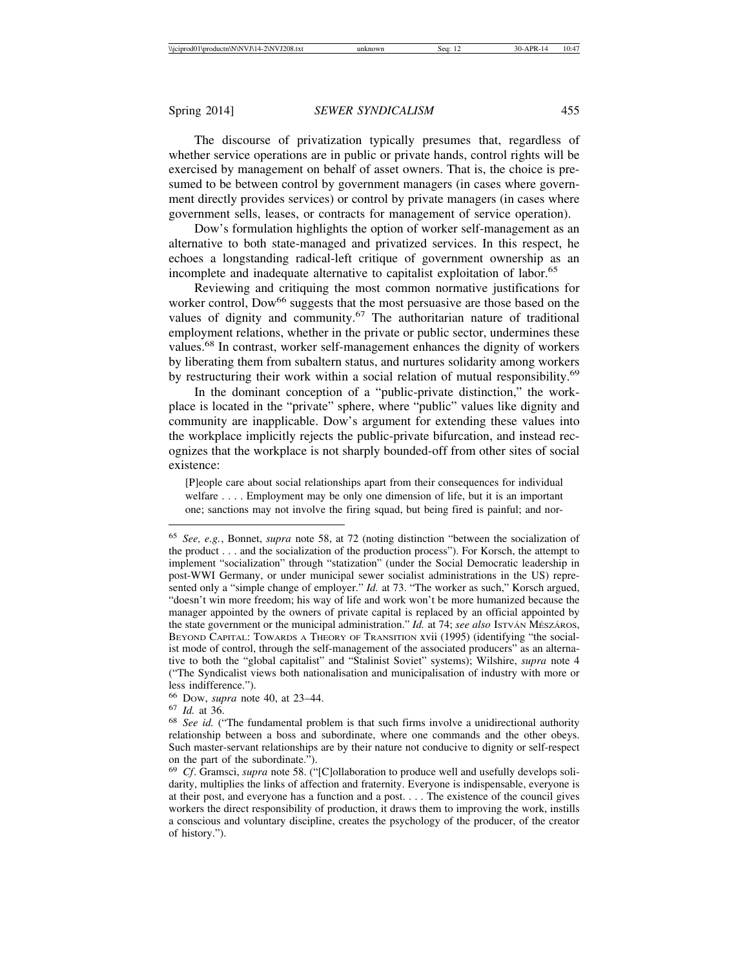The discourse of privatization typically presumes that, regardless of whether service operations are in public or private hands, control rights will be exercised by management on behalf of asset owners. That is, the choice is presumed to be between control by government managers (in cases where government directly provides services) or control by private managers (in cases where government sells, leases, or contracts for management of service operation).

Dow's formulation highlights the option of worker self-management as an alternative to both state-managed and privatized services. In this respect, he echoes a longstanding radical-left critique of government ownership as an incomplete and inadequate alternative to capitalist exploitation of labor.<sup>65</sup>

Reviewing and critiquing the most common normative justifications for worker control, Dow<sup>66</sup> suggests that the most persuasive are those based on the values of dignity and community.<sup>67</sup> The authoritarian nature of traditional employment relations, whether in the private or public sector, undermines these values.68 In contrast, worker self-management enhances the dignity of workers by liberating them from subaltern status, and nurtures solidarity among workers by restructuring their work within a social relation of mutual responsibility.<sup>69</sup>

In the dominant conception of a "public-private distinction," the workplace is located in the "private" sphere, where "public" values like dignity and community are inapplicable. Dow's argument for extending these values into the workplace implicitly rejects the public-private bifurcation, and instead recognizes that the workplace is not sharply bounded-off from other sites of social existence:

[P]eople care about social relationships apart from their consequences for individual welfare . . . . Employment may be only one dimension of life, but it is an important one; sanctions may not involve the firing squad, but being fired is painful; and nor-

<sup>65</sup> *See, e.g.*, Bonnet, *supra* note 58, at 72 (noting distinction "between the socialization of the product . . . and the socialization of the production process"). For Korsch, the attempt to implement "socialization" through "statization" (under the Social Democratic leadership in post-WWI Germany, or under municipal sewer socialist administrations in the US) represented only a "simple change of employer." *Id.* at 73. "The worker as such," Korsch argued, "doesn't win more freedom; his way of life and work won't be more humanized because the manager appointed by the owners of private capital is replaced by an official appointed by the state government or the municipal administration." *Id.* at 74; see also IsTVAN MESZAROS, BEYOND CAPITAL: TOWARDS A THEORY OF TRANSITION xvii (1995) (identifying "the socialist mode of control, through the self-management of the associated producers" as an alternative to both the "global capitalist" and "Stalinist Soviet" systems); Wilshire, *supra* note 4 ("The Syndicalist views both nationalisation and municipalisation of industry with more or less indifference.").

<sup>66</sup> DOW, *supra* note 40, at 23–44. <sup>67</sup> *Id.* at 36. <sup>68</sup> *See id.* ("The fundamental problem is that such firms involve a unidirectional authority relationship between a boss and subordinate, where one commands and the other obeys. Such master-servant relationships are by their nature not conducive to dignity or self-respect on the part of the subordinate.").

<sup>69</sup> *Cf*. Gramsci, *supra* note 58. ("[C]ollaboration to produce well and usefully develops solidarity, multiplies the links of affection and fraternity. Everyone is indispensable, everyone is at their post, and everyone has a function and a post. . . . The existence of the council gives workers the direct responsibility of production, it draws them to improving the work, instills a conscious and voluntary discipline, creates the psychology of the producer, of the creator of history.").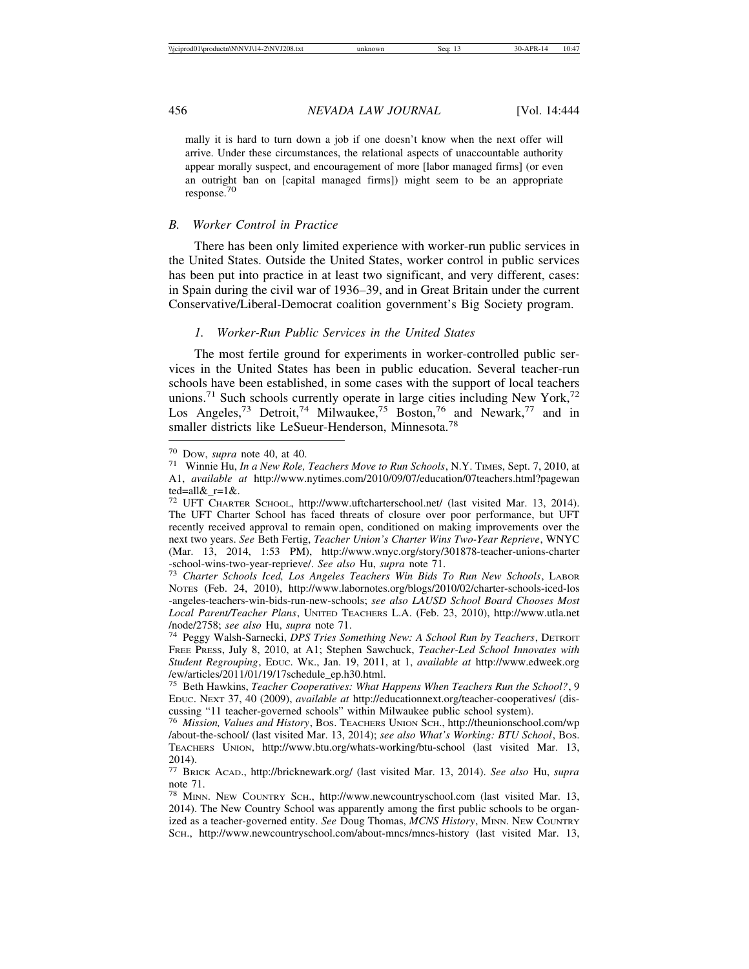mally it is hard to turn down a job if one doesn't know when the next offer will arrive. Under these circumstances, the relational aspects of unaccountable authority appear morally suspect, and encouragement of more [labor managed firms] (or even an outright ban on [capital managed firms]) might seem to be an appropriate response.70

## *B. Worker Control in Practice*

There has been only limited experience with worker-run public services in the United States. Outside the United States, worker control in public services has been put into practice in at least two significant, and very different, cases: in Spain during the civil war of 1936–39, and in Great Britain under the current Conservative/Liberal-Democrat coalition government's Big Society program.

#### *1. Worker-Run Public Services in the United States*

The most fertile ground for experiments in worker-controlled public services in the United States has been in public education. Several teacher-run schools have been established, in some cases with the support of local teachers unions.<sup>71</sup> Such schools currently operate in large cities including New York,<sup>72</sup> Los Angeles,<sup>73</sup> Detroit,<sup>74</sup> Milwaukee,<sup>75</sup> Boston,<sup>76</sup> and Newark,<sup>77</sup> and in smaller districts like LeSueur-Henderson, Minnesota.<sup>78</sup>

<sup>70</sup> DOW, *supra* note 40, at 40. 71 Winnie Hu, *In a New Role, Teachers Move to Run Schools*, N.Y. TIMES, Sept. 7, 2010, at A1, *available at* http://www.nytimes.com/2010/09/07/education/07teachers.html?pagewan ted=all&\_r=1&.

<sup>72</sup> UFT CHARTER SCHOOL, http://www.uftcharterschool.net/ (last visited Mar. 13, 2014). The UFT Charter School has faced threats of closure over poor performance, but UFT recently received approval to remain open, conditioned on making improvements over the next two years. *See* Beth Fertig, *Teacher Union's Charter Wins Two-Year Reprieve*, WNYC (Mar. 13, 2014, 1:53 PM), http://www.wnyc.org/story/301878-teacher-unions-charter -school-wins-two-year-reprieve/. *See also* Hu, *supra* note 71. <sup>73</sup> *Charter Schools Iced, Los Angeles Teachers Win Bids To Run New Schools*, LABOR

NOTES (Feb. 24, 2010), http://www.labornotes.org/blogs/2010/02/charter-schools-iced-los -angeles-teachers-win-bids-run-new-schools; *see also LAUSD School Board Chooses Most Local Parent/Teacher Plans*, UNITED TEACHERS L.A. (Feb. 23, 2010), http://www.utla.net /node/2758; *see also* Hu, *supra* note 71. <sup>74</sup> Peggy Walsh-Sarnecki, *DPS Tries Something New: A School Run by Teachers*, DETROIT

FREE PRESS, July 8, 2010, at A1; Stephen Sawchuck, *Teacher-Led School Innovates with Student Regrouping*, EDUC. WK., Jan. 19, 2011, at 1, *available at* http://www.edweek.org /ew/articles/2011/01/19/17schedule\_ep.h30.html.

<sup>75</sup> Beth Hawkins, *Teacher Cooperatives: What Happens When Teachers Run the School?*, 9 EDUC. NEXT 37, 40 (2009), *available at* http://educationnext.org/teacher-cooperatives/ (discussing "11 teacher-governed schools" within Milwaukee public school system).

<sup>76</sup> *Mission, Values and History*, BOS. TEACHERS UNION SCH., http://theunionschool.com/wp /about-the-school/ (last visited Mar. 13, 2014); *see also What's Working: BTU School*, BOS. TEACHERS UNION, http://www.btu.org/whats-working/btu-school (last visited Mar. 13, 2014).

<sup>77</sup> BRICK ACAD., http://bricknewark.org/ (last visited Mar. 13, 2014). *See also* Hu, *supra* note 71.

<sup>78</sup> MINN. NEW COUNTRY SCH., http://www.newcountryschool.com (last visited Mar. 13, 2014). The New Country School was apparently among the first public schools to be organized as a teacher-governed entity. *See* Doug Thomas, *MCNS History*, MINN. NEW COUNTRY SCH., http://www.newcountryschool.com/about-mncs/mncs-history (last visited Mar. 13,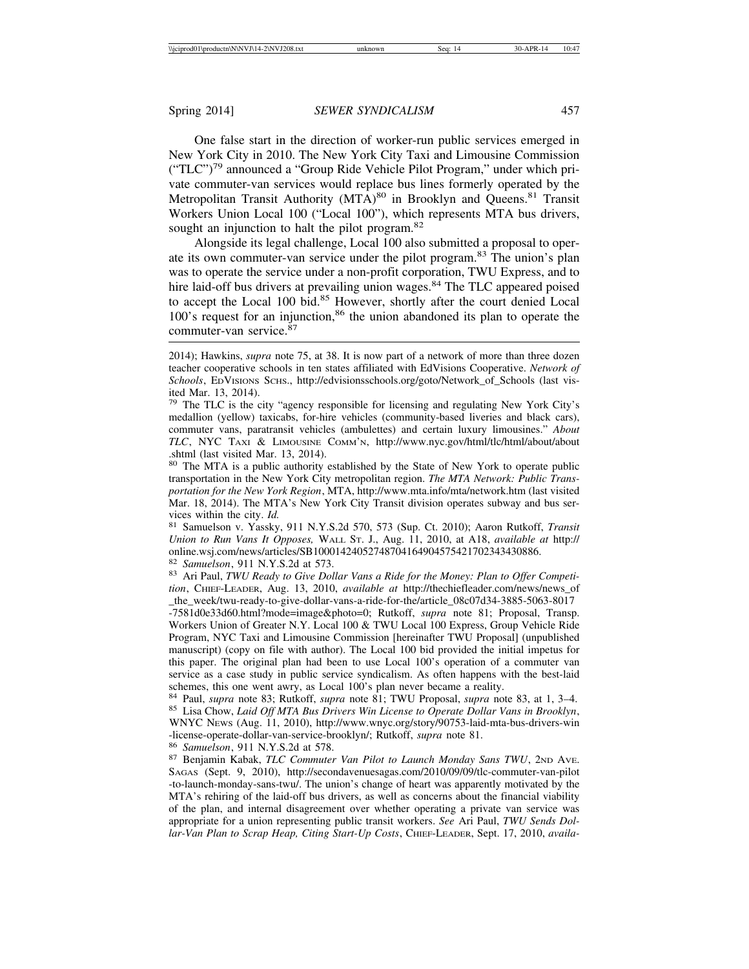One false start in the direction of worker-run public services emerged in New York City in 2010. The New York City Taxi and Limousine Commission  $("TLC")^{79}$  announced a "Group Ride Vehicle Pilot Program," under which private commuter-van services would replace bus lines formerly operated by the Metropolitan Transit Authority (MTA)<sup>80</sup> in Brooklyn and Queens.<sup>81</sup> Transit Workers Union Local 100 ("Local 100"), which represents MTA bus drivers, sought an injunction to halt the pilot program.<sup>82</sup>

Alongside its legal challenge, Local 100 also submitted a proposal to operate its own commuter-van service under the pilot program.<sup>83</sup> The union's plan was to operate the service under a non-profit corporation, TWU Express, and to hire laid-off bus drivers at prevailing union wages.<sup>84</sup> The TLC appeared poised to accept the Local 100 bid.<sup>85</sup> However, shortly after the court denied Local 100's request for an injunction,<sup>86</sup> the union abandoned its plan to operate the commuter-van service. $87$ 

<sup>79</sup> The TLC is the city "agency responsible for licensing and regulating New York City's medallion (yellow) taxicabs, for-hire vehicles (community-based liveries and black cars), commuter vans, paratransit vehicles (ambulettes) and certain luxury limousines." *About TLC*, NYC TAXI & LIMOUSINE COMM'N, http://www.nyc.gov/html/tlc/html/about/about .shtml (last visited Mar. 13, 2014).

<sup>80</sup> The MTA is a public authority established by the State of New York to operate public transportation in the New York City metropolitan region. *The MTA Network: Public Transportation for the New York Region*, MTA, http://www.mta.info/mta/network.htm (last visited Mar. 18, 2014). The MTA's New York City Transit division operates subway and bus services within the city. *Id. PALE 10. 10. 10. 10. 10. 10. 11 N.Y.S.2d 570, 573 (Sup. Ct. 2010); Aaron Rutkoff, <i>Transit**Rutkoff***,** *Transit* 

*Union to Run Vans It Opposes,* WALL ST. J., Aug. 11, 2010, at A18, *available at* http:// online.wsj.com/news/articles/SB10001424052748704164904575421702343430886.<br><sup>82</sup> Samuelson, 911 N.Y.S.2d at 573.

<sup>83</sup> Ari Paul, *TWU Ready to Give Dollar Vans a Ride for the Money: Plan to Offer Competition*, CHIEF-LEADER, Aug. 13, 2010, *available at* http://thechiefleader.com/news/news\_of \_the\_week/twu-ready-to-give-dollar-vans-a-ride-for-the/article\_08c07d34-3885-5063-8017

-7581d0e33d60.html?mode=image&photo=0; Rutkoff, *supra* note 81; Proposal, Transp. Workers Union of Greater N.Y. Local 100 & TWU Local 100 Express, Group Vehicle Ride Program, NYC Taxi and Limousine Commission [hereinafter TWU Proposal] (unpublished manuscript) (copy on file with author). The Local 100 bid provided the initial impetus for this paper. The original plan had been to use Local 100's operation of a commuter van service as a case study in public service syndicalism. As often happens with the best-laid schemes, this one went awry, as Local 100's plan never became a reality.

<sup>84</sup> Paul, *supra* note 83; Rutkoff, *supra* note 81; TWU Proposal, *supra* note 83, at 1, 3–4. <sup>85</sup> Lisa Chow, *Laid Off MTA Bus Drivers Win License to Operate Dollar Vans in Brooklyn*, WNYC NEWS (Aug. 11, 2010), http://www.wnyc.org/story/90753-laid-mta-bus-drivers-win -license-operate-dollar-van-service-brooklyn/; Rutkoff, *supra* note 81. <sup>86</sup> *Samuelson*, 911 N.Y.S.2d at 578. <sup>87</sup> Benjamin Kabak, *TLC Commuter Van Pilot to Launch Monday Sans TWU*, 2ND AVE.

SAGAS (Sept. 9, 2010), http://secondavenuesagas.com/2010/09/09/tlc-commuter-van-pilot -to-launch-monday-sans-twu/. The union's change of heart was apparently motivated by the MTA's rehiring of the laid-off bus drivers, as well as concerns about the financial viability of the plan, and internal disagreement over whether operating a private van service was appropriate for a union representing public transit workers. *See* Ari Paul, *TWU Sends Dollar-Van Plan to Scrap Heap, Citing Start-Up Costs*, CHIEF-LEADER, Sept. 17, 2010, *availa-*

<sup>2014);</sup> Hawkins, *supra* note 75, at 38. It is now part of a network of more than three dozen teacher cooperative schools in ten states affiliated with EdVisions Cooperative. *Network of Schools*, EDVISIONS SCHS., http://edvisionsschools.org/goto/Network\_of\_Schools (last visited Mar. 13, 2014).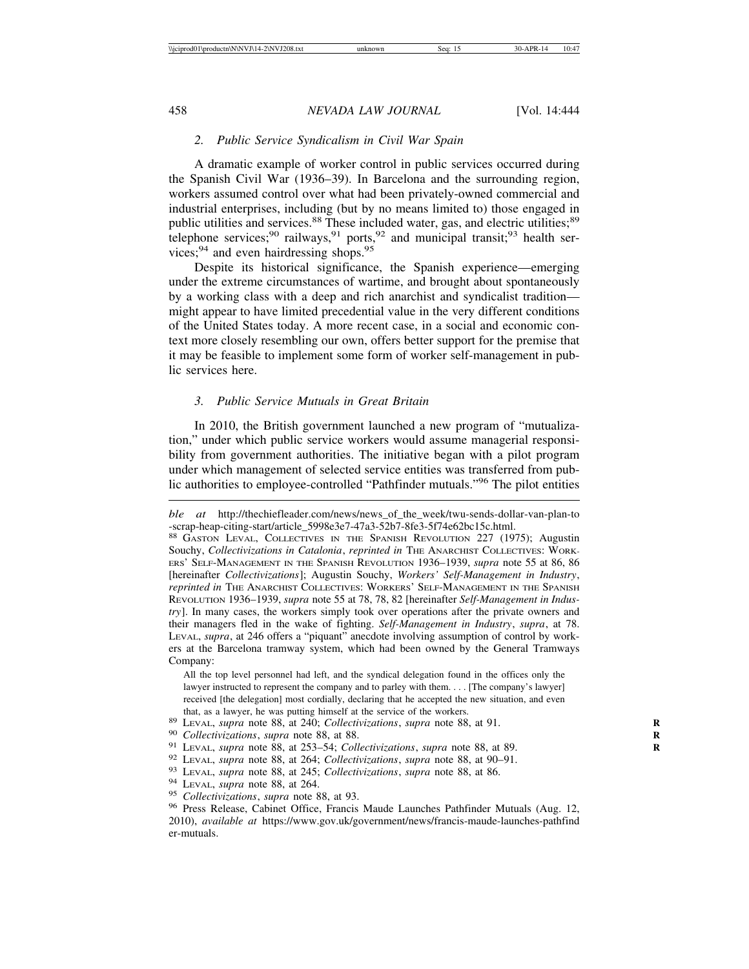## *2. Public Service Syndicalism in Civil War Spain*

A dramatic example of worker control in public services occurred during the Spanish Civil War (1936–39). In Barcelona and the surrounding region, workers assumed control over what had been privately-owned commercial and industrial enterprises, including (but by no means limited to) those engaged in public utilities and services.<sup>88</sup> These included water, gas, and electric utilities;<sup>89</sup> telephone services;<sup>90</sup> railways,<sup>91</sup> ports,<sup>92</sup> and municipal transit;<sup>93</sup> health services; $94$  and even hairdressing shops. $95$ 

Despite its historical significance, the Spanish experience—emerging under the extreme circumstances of wartime, and brought about spontaneously by a working class with a deep and rich anarchist and syndicalist tradition might appear to have limited precedential value in the very different conditions of the United States today. A more recent case, in a social and economic context more closely resembling our own, offers better support for the premise that it may be feasible to implement some form of worker self-management in public services here.

### *3. Public Service Mutuals in Great Britain*

In 2010, the British government launched a new program of "mutualization," under which public service workers would assume managerial responsibility from government authorities. The initiative began with a pilot program under which management of selected service entities was transferred from public authorities to employee-controlled "Pathfinder mutuals."96 The pilot entities

All the top level personnel had left, and the syndical delegation found in the offices only the lawyer instructed to represent the company and to parley with them. . . . [The company's lawyer] received [the delegation] most cordially, declaring that he accepted the new situation, and even

*ble at* http://thechiefleader.com/news/news\_of\_the\_week/twu-sends-dollar-van-plan-to -scrap-heap-citing-start/article\_5998e3e7-47a3-52b7-8fe3-5f74e62bc15c.html.

<sup>88</sup> GASTON LEVAL, COLLECTIVES IN THE SPANISH REVOLUTION 227 (1975); Augustin Souchy, *Collectivizations in Catalonia*, *reprinted in* THE ANARCHIST COLLECTIVES: WORK-ERS' SELF-MANAGEMENT IN THE SPANISH REVOLUTION 1936–1939, *supra* note 55 at 86, 86 [hereinafter *Collectivizations*]; Augustin Souchy, *Workers' Self-Management in Industry*, *reprinted in* THE ANARCHIST COLLECTIVES: WORKERS' SELF-MANAGEMENT IN THE SPANISH REVOLUTION 1936–1939, *supra* note 55 at 78, 78, 82 [hereinafter *Self-Management in Industry*]. In many cases, the workers simply took over operations after the private owners and their managers fled in the wake of fighting. *Self-Management in Industry*, *supra*, at 78. LEVAL, *supra*, at 246 offers a "piquant" anecdote involving assumption of control by workers at the Barcelona tramway system, which had been owned by the General Tramways Company:

that, as a lawyer, he was putting himself at the service of the workers.<br><sup>89</sup> LEVAL, *supra* note 88, at 240; *Collectivizations*, *supra* note 88, at 91.<br><sup>90</sup> Collectivizations, *supra* note 88, at 88.<br><sup>91</sup> LEVAL, *supra* 2010), *available at* https://www.gov.uk/government/news/francis-maude-launches-pathfind er-mutuals.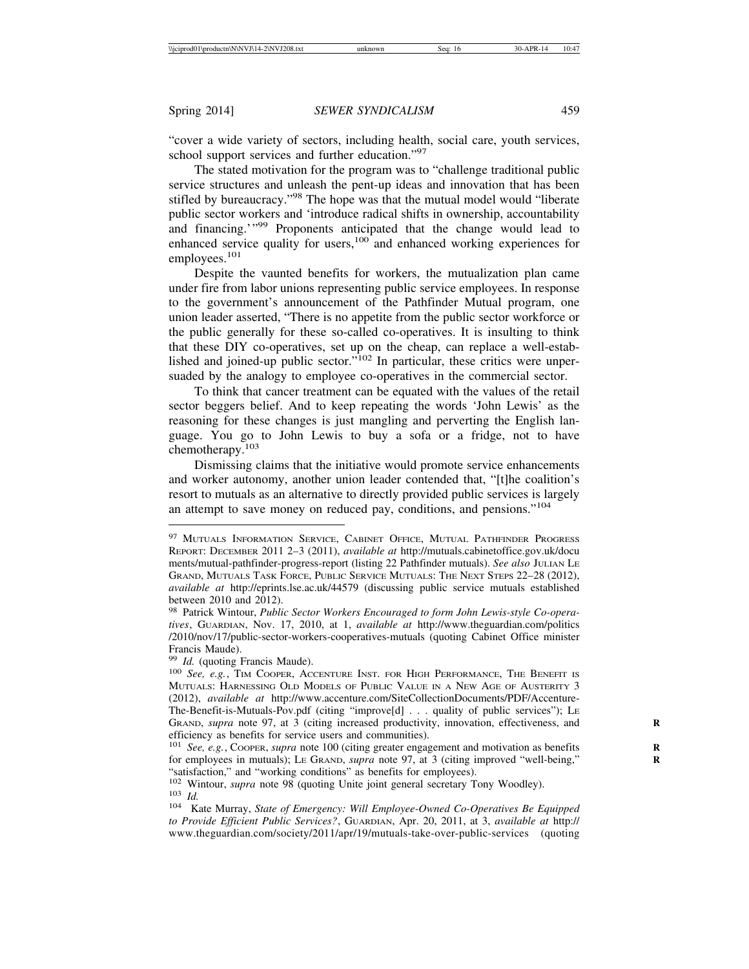"cover a wide variety of sectors, including health, social care, youth services, school support services and further education."<sup>97</sup>

The stated motivation for the program was to "challenge traditional public service structures and unleash the pent-up ideas and innovation that has been stifled by bureaucracy."98 The hope was that the mutual model would "liberate public sector workers and 'introduce radical shifts in ownership, accountability and financing.'"<sup>99</sup> Proponents anticipated that the change would lead to enhanced service quality for users,<sup>100</sup> and enhanced working experiences for employees.<sup>101</sup>

Despite the vaunted benefits for workers, the mutualization plan came under fire from labor unions representing public service employees. In response to the government's announcement of the Pathfinder Mutual program, one union leader asserted, "There is no appetite from the public sector workforce or the public generally for these so-called co-operatives. It is insulting to think that these DIY co-operatives, set up on the cheap, can replace a well-established and joined-up public sector." $102$  In particular, these critics were unpersuaded by the analogy to employee co-operatives in the commercial sector.

To think that cancer treatment can be equated with the values of the retail sector beggers belief. And to keep repeating the words 'John Lewis' as the reasoning for these changes is just mangling and perverting the English language. You go to John Lewis to buy a sofa or a fridge, not to have chemotherapy.<sup>103</sup>

Dismissing claims that the initiative would promote service enhancements and worker autonomy, another union leader contended that, "[t]he coalition's resort to mutuals as an alternative to directly provided public services is largely an attempt to save money on reduced pay, conditions, and pensions."<sup>104</sup>

<sup>&</sup>lt;sup>97</sup> MUTUALS INFORMATION SERVICE, CABINET OFFICE, MUTUAL PATHFINDER PROGRESS REPORT: DECEMBER 2011 2–3 (2011), *available at* http://mutuals.cabinetoffice.gov.uk/docu ments/mutual-pathfinder-progress-report (listing 22 Pathfinder mutuals). *See also* JULIAN LE GRAND, MUTUALS TASK FORCE, PUBLIC SERVICE MUTUALS: THE NEXT STEPS 22–28 (2012), *available at* http://eprints.lse.ac.uk/44579 (discussing public service mutuals established between 2010 and 2012).

<sup>98</sup> Patrick Wintour, *Public Sector Workers Encouraged to form John Lewis-style Co-operatives*, GUARDIAN, Nov. 17, 2010, at 1, *available at* http://www.theguardian.com/politics /2010/nov/17/public-sector-workers-cooperatives-mutuals (quoting Cabinet Office minister Francis Maude).<br><sup>99</sup> Id. (quoting Francis Maude).

<sup>&</sup>lt;sup>100</sup> *See, e.g.*, TIM COOPER, ACCENTURE INST. FOR HIGH PERFORMANCE, THE BENEFIT IS MUTUALS: HARNESSING OLD MODELS OF PUBLIC VALUE IN A NEW AGE OF AUSTERITY 3 (2012), *available at* http://www.accenture.com/SiteCollectionDocuments/PDF/Accenture-The-Benefit-is-Mutuals-Pov.pdf (citing "improve[d] . . . quality of public services"); LE GRAND, *supra* note 97, at 3 (citing increased productivity, innovation, effectiveness, and efficiency as benefits for service users and communities).

<sup>&</sup>lt;sup>101</sup> *See, e.g.*, Coopers, *supra* note 100 (citing greater engagement and motivation as benefits for employees in mutuals); LE GRAND, *supra* note 97, at 3 (citing improved "well-being," **R** "satisfaction," and "working conditions" as benefits for employees).<br><sup>102</sup> Wintour, *supra* note 98 (quoting Unite joint general secretary Tony Woodley).

<sup>&</sup>lt;sup>103</sup> Id.<br><sup>104</sup> Kate Murray, *State of Emergency: Will Employee-Owned Co-Operatives Be Equipped* 

*to Provide Efficient Public Services?*, GUARDIAN, Apr. 20, 2011, at 3, *available at* http:// www.theguardian.com/society/2011/apr/19/mutuals-take-over-public-services (quoting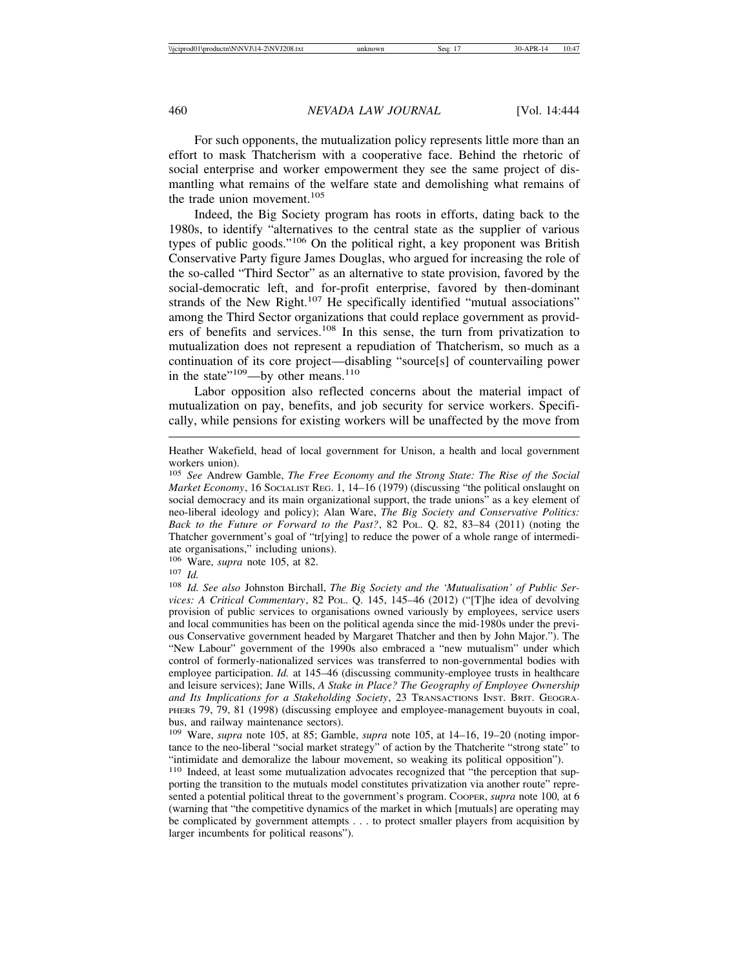For such opponents, the mutualization policy represents little more than an effort to mask Thatcherism with a cooperative face. Behind the rhetoric of social enterprise and worker empowerment they see the same project of dismantling what remains of the welfare state and demolishing what remains of the trade union movement.<sup>105</sup>

Indeed, the Big Society program has roots in efforts, dating back to the 1980s, to identify "alternatives to the central state as the supplier of various types of public goods."106 On the political right, a key proponent was British Conservative Party figure James Douglas, who argued for increasing the role of the so-called "Third Sector" as an alternative to state provision, favored by the social-democratic left, and for-profit enterprise, favored by then-dominant strands of the New Right.<sup>107</sup> He specifically identified "mutual associations" among the Third Sector organizations that could replace government as providers of benefits and services.<sup>108</sup> In this sense, the turn from privatization to mutualization does not represent a repudiation of Thatcherism, so much as a continuation of its core project—disabling "source[s] of countervailing power in the state"<sup>109</sup>—by other means.<sup>110</sup>

Labor opposition also reflected concerns about the material impact of mutualization on pay, benefits, and job security for service workers. Specifically, while pensions for existing workers will be unaffected by the move from

<sup>106</sup> Ware, *supra* note 105, at 82.

Heather Wakefield, head of local government for Unison, a health and local government workers union).

<sup>105</sup> *See* Andrew Gamble, *The Free Economy and the Strong State: The Rise of the Social Market Economy*, 16 SOCIALIST REG. 1, 14–16 (1979) (discussing "the political onslaught on social democracy and its main organizational support, the trade unions" as a key element of neo-liberal ideology and policy); Alan Ware, *The Big Society and Conservative Politics: Back to the Future or Forward to the Past?*, 82 POL. Q. 82, 83–84 (2011) (noting the Thatcher government's goal of "tr[ying] to reduce the power of a whole range of intermediate organisations," including unions).

<sup>107</sup> *Id.*

<sup>108</sup> *Id. See also* Johnston Birchall, *The Big Society and the 'Mutualisation' of Public Services: A Critical Commentary*, 82 POL. Q. 145, 145–46 (2012) ("[T]he idea of devolving provision of public services to organisations owned variously by employees, service users and local communities has been on the political agenda since the mid-1980s under the previous Conservative government headed by Margaret Thatcher and then by John Major."). The "New Labour" government of the 1990s also embraced a "new mutualism" under which control of formerly-nationalized services was transferred to non-governmental bodies with employee participation. *Id.* at 145–46 (discussing community-employee trusts in healthcare and leisure services); Jane Wills, *A Stake in Place? The Geography of Employee Ownership and Its Implications for a Stakeholding Society*, 23 TRANSACTIONS INST. BRIT. GEOGRA-PHERS 79, 79, 81 (1998) (discussing employee and employee-management buyouts in coal, bus, and railway maintenance sectors).

<sup>109</sup> Ware, *supra* note 105, at 85; Gamble, *supra* note 105, at 14–16, 19–20 (noting importance to the neo-liberal "social market strategy" of action by the Thatcherite "strong state" to "intimidate and demoralize the labour movement, so weaking its political opposition").

<sup>&</sup>lt;sup>110</sup> Indeed, at least some mutualization advocates recognized that "the perception that supporting the transition to the mutuals model constitutes privatization via another route" represented a potential political threat to the government's program. COOPER, *supra* note 100*,* at 6 (warning that "the competitive dynamics of the market in which [mutuals] are operating may be complicated by government attempts . . . to protect smaller players from acquisition by larger incumbents for political reasons").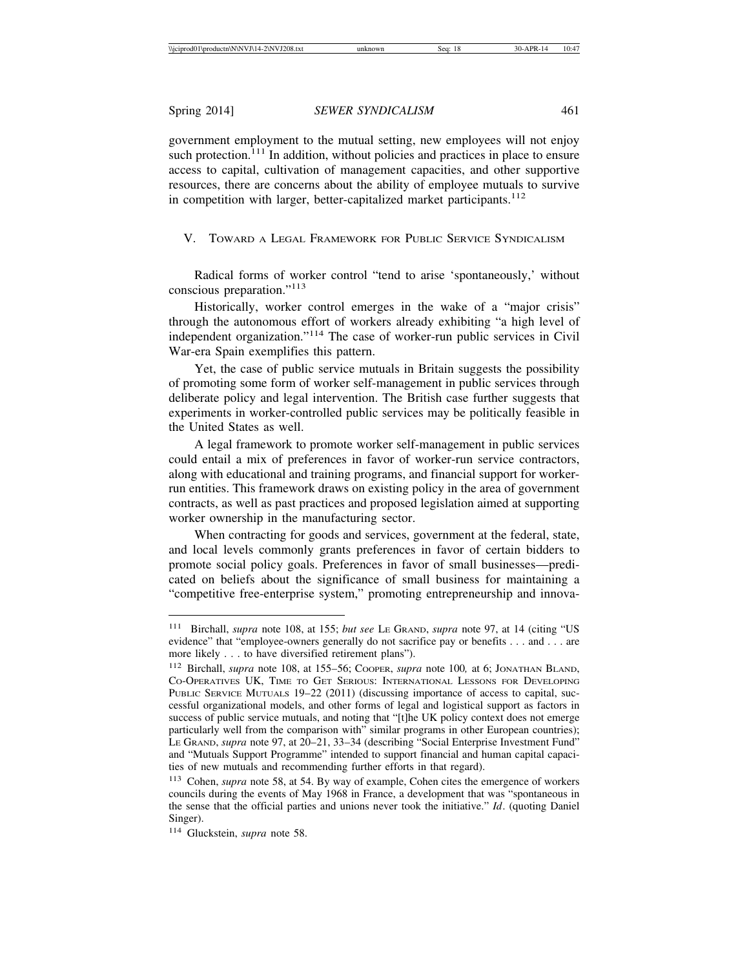government employment to the mutual setting, new employees will not enjoy such protection.<sup> $111$ </sup> In addition, without policies and practices in place to ensure access to capital, cultivation of management capacities, and other supportive resources, there are concerns about the ability of employee mutuals to survive in competition with larger, better-capitalized market participants.<sup>112</sup>

V. TOWARD A LEGAL FRAMEWORK FOR PUBLIC SERVICE SYNDICALISM

Radical forms of worker control "tend to arise 'spontaneously,' without conscious preparation."<sup>113</sup>

Historically, worker control emerges in the wake of a "major crisis" through the autonomous effort of workers already exhibiting "a high level of independent organization."114 The case of worker-run public services in Civil War-era Spain exemplifies this pattern.

Yet, the case of public service mutuals in Britain suggests the possibility of promoting some form of worker self-management in public services through deliberate policy and legal intervention. The British case further suggests that experiments in worker-controlled public services may be politically feasible in the United States as well.

A legal framework to promote worker self-management in public services could entail a mix of preferences in favor of worker-run service contractors, along with educational and training programs, and financial support for workerrun entities. This framework draws on existing policy in the area of government contracts, as well as past practices and proposed legislation aimed at supporting worker ownership in the manufacturing sector.

When contracting for goods and services, government at the federal, state, and local levels commonly grants preferences in favor of certain bidders to promote social policy goals. Preferences in favor of small businesses—predicated on beliefs about the significance of small business for maintaining a "competitive free-enterprise system," promoting entrepreneurship and innova-

<sup>111</sup> Birchall, *supra* note 108, at 155; *but see* LE GRAND, *supra* note 97, at 14 (citing "US evidence" that "employee-owners generally do not sacrifice pay or benefits . . . and . . . are more likely . . . to have diversified retirement plans").

<sup>112</sup> Birchall, *supra* note 108, at 155–56; COOPER, *supra* note 100*,* at 6; JONATHAN BLAND, CO-OPERATIVES UK, TIME TO GET SERIOUS: INTERNATIONAL LESSONS FOR DEVELOPING PUBLIC SERVICE MUTUALS 19–22 (2011) (discussing importance of access to capital, successful organizational models, and other forms of legal and logistical support as factors in success of public service mutuals, and noting that "[t]he UK policy context does not emerge particularly well from the comparison with" similar programs in other European countries); LE GRAND, *supra* note 97, at 20–21, 33–34 (describing "Social Enterprise Investment Fund" and "Mutuals Support Programme" intended to support financial and human capital capacities of new mutuals and recommending further efforts in that regard).

<sup>113</sup> Cohen, *supra* note 58, at 54. By way of example, Cohen cites the emergence of workers councils during the events of May 1968 in France, a development that was "spontaneous in the sense that the official parties and unions never took the initiative." *Id*. (quoting Daniel Singer).

<sup>114</sup> Gluckstein, *supra* note 58.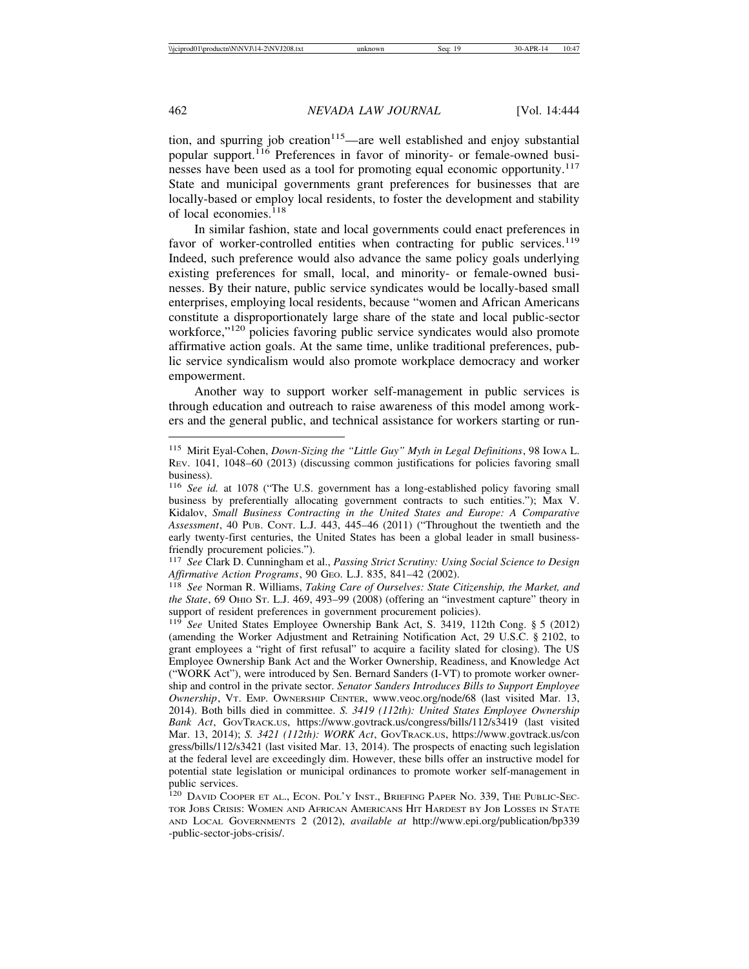tion, and spurring job creation<sup>115</sup>—are well established and enjoy substantial popular support.<sup>116</sup> Preferences in favor of minority- or female-owned businesses have been used as a tool for promoting equal economic opportunity.<sup>117</sup> State and municipal governments grant preferences for businesses that are locally-based or employ local residents, to foster the development and stability of local economies. $118$ 

In similar fashion, state and local governments could enact preferences in favor of worker-controlled entities when contracting for public services.<sup>119</sup> Indeed, such preference would also advance the same policy goals underlying existing preferences for small, local, and minority- or female-owned businesses. By their nature, public service syndicates would be locally-based small enterprises, employing local residents, because "women and African Americans constitute a disproportionately large share of the state and local public-sector workforce,"<sup>120</sup> policies favoring public service syndicates would also promote affirmative action goals. At the same time, unlike traditional preferences, public service syndicalism would also promote workplace democracy and worker empowerment.

Another way to support worker self-management in public services is through education and outreach to raise awareness of this model among workers and the general public, and technical assistance for workers starting or run-

<sup>115</sup> Mirit Eyal-Cohen, *Down-Sizing the "Little Guy" Myth in Legal Definitions*, 98 IOWA L. REV. 1041, 1048–60 (2013) (discussing common justifications for policies favoring small business).

<sup>116</sup> *See id.* at 1078 ("The U.S. government has a long-established policy favoring small business by preferentially allocating government contracts to such entities."); Max V. Kidalov, *Small Business Contracting in the United States and Europe: A Comparative Assessment*, 40 PUB. CONT. L.J. 443, 445–46 (2011) ("Throughout the twentieth and the early twenty-first centuries, the United States has been a global leader in small businessfriendly procurement policies.").

<sup>117</sup> *See* Clark D. Cunningham et al., *Passing Strict Scrutiny: Using Social Science to Design Affirmative Action Programs*, 90 GEO. L.J. 835, 841–42 (2002).

<sup>118</sup> *See* Norman R. Williams, *Taking Care of Ourselves: State Citizenship, the Market, and the State*, 69 OHIO ST. L.J. 469, 493–99 (2008) (offering an "investment capture" theory in support of resident preferences in government procurement policies).

<sup>119</sup> *See* United States Employee Ownership Bank Act, S. 3419, 112th Cong. § 5 (2012) (amending the Worker Adjustment and Retraining Notification Act, 29 U.S.C. § 2102, to grant employees a "right of first refusal" to acquire a facility slated for closing). The US Employee Ownership Bank Act and the Worker Ownership, Readiness, and Knowledge Act ("WORK Act"), were introduced by Sen. Bernard Sanders (I-VT) to promote worker ownership and control in the private sector. *Senator Sanders Introduces Bills to Support Employee Ownership*, VT. EMP. OWNERSHIP CENTER, www.veoc.org/node/68 (last visited Mar. 13, 2014). Both bills died in committee. *S. 3419 (112th): United States Employee Ownership Bank Act*, GOVTRACK.US, https://www.govtrack.us/congress/bills/112/s3419 (last visited Mar. 13, 2014); *S. 3421 (112th): WORK Act*, GOVTRACK.US, https://www.govtrack.us/con gress/bills/112/s3421 (last visited Mar. 13, 2014). The prospects of enacting such legislation at the federal level are exceedingly dim. However, these bills offer an instructive model for potential state legislation or municipal ordinances to promote worker self-management in public services.

<sup>&</sup>lt;sup>120</sup> DAVID COOPER ET AL., ECON. POL'Y INST., BRIEFING PAPER NO. 339, THE PUBLIC-SEC-TOR JOBS CRISIS: WOMEN AND AFRICAN AMERICANS HIT HARDEST BY JOB LOSSES IN STATE AND LOCAL GOVERNMENTS 2 (2012), *available at* http://www.epi.org/publication/bp339 -public-sector-jobs-crisis/.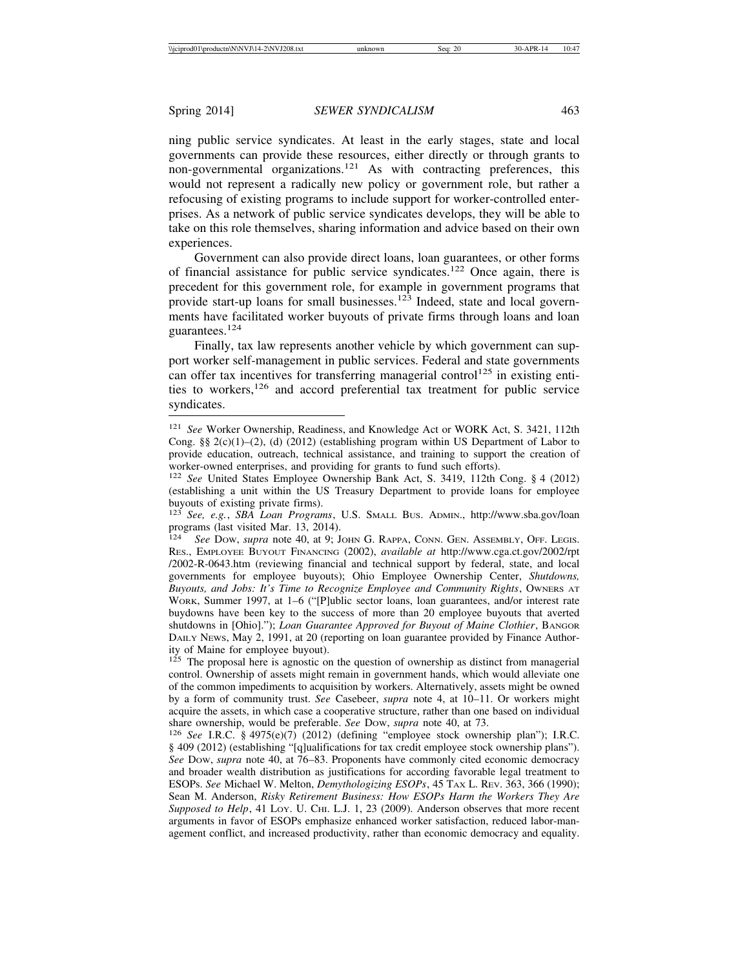ning public service syndicates. At least in the early stages, state and local governments can provide these resources, either directly or through grants to  $\frac{1}{2}$  non-governmental organizations.<sup>121</sup> As with contracting preferences, this would not represent a radically new policy or government role, but rather a refocusing of existing programs to include support for worker-controlled enterprises. As a network of public service syndicates develops, they will be able to take on this role themselves, sharing information and advice based on their own experiences.

Government can also provide direct loans, loan guarantees, or other forms of financial assistance for public service syndicates.122 Once again, there is precedent for this government role, for example in government programs that provide start-up loans for small businesses.<sup>123</sup> Indeed, state and local governments have facilitated worker buyouts of private firms through loans and loan guarantees.<sup>124</sup>

Finally, tax law represents another vehicle by which government can support worker self-management in public services. Federal and state governments can offer tax incentives for transferring managerial control<sup>125</sup> in existing entities to workers,<sup>126</sup> and accord preferential tax treatment for public service syndicates.

 $125$  The proposal here is agnostic on the question of ownership as distinct from managerial control. Ownership of assets might remain in government hands, which would alleviate one of the common impediments to acquisition by workers. Alternatively, assets might be owned by a form of community trust. *See* Casebeer, *supra* note 4, at 10–11. Or workers might acquire the assets, in which case a cooperative structure, rather than one based on individual

share ownership, would be preferable. *See* Dow, *supra* note 40, at 73. 126 *See* I.R.C. § 4975(e)(7) (2012) (defining "employee stock ownership plan"); I.R.C. § 409 (2012) (establishing "[q]ualifications for tax credit employee stock ownership plans"). *See* DOW, *supra* note 40, at 76–83. Proponents have commonly cited economic democracy and broader wealth distribution as justifications for according favorable legal treatment to ESOPs. *See* Michael W. Melton, *Demythologizing ESOPs*, 45 TAX L. REV. 363, 366 (1990); Sean M. Anderson, *Risky Retirement Business: How ESOPs Harm the Workers They Are Supposed to Help*, 41 LOY. U. CHI. L.J. 1, 23 (2009). Anderson observes that more recent arguments in favor of ESOPs emphasize enhanced worker satisfaction, reduced labor-management conflict, and increased productivity, rather than economic democracy and equality.

<sup>121</sup> *See* Worker Ownership, Readiness, and Knowledge Act or WORK Act, S. 3421, 112th Cong.  $\S\S 2(c)(1)-(2)$ , (d) (2012) (establishing program within US Department of Labor to provide education, outreach, technical assistance, and training to support the creation of worker-owned enterprises, and providing for grants to fund such efforts).

<sup>122</sup> *See* United States Employee Ownership Bank Act, S. 3419, 112th Cong. § 4 (2012) (establishing a unit within the US Treasury Department to provide loans for employee buyouts of existing private firms).

<sup>123</sup> *See, e.g.*, *SBA Loan Programs*, U.S. SMALL BUS. ADMIN., http://www.sba.gov/loan programs (last visited Mar. 13, 2014).<br> $124 \text{ See}$  Dow, *sunra* note 40, at 9: Jo

See Dow, *supra* note 40, at 9; JOHN G. RAPPA, CONN. GEN. ASSEMBLY, OFF. LEGIS. RES., EMPLOYEE BUYOUT FINANCING (2002), *available at* http://www.cga.ct.gov/2002/rpt /2002-R-0643.htm (reviewing financial and technical support by federal, state, and local governments for employee buyouts); Ohio Employee Ownership Center, *Shutdowns, Buyouts, and Jobs: It's Time to Recognize Employee and Community Rights*, OWNERS AT WORK, Summer 1997, at 1–6 ("[P]ublic sector loans, loan guarantees, and/or interest rate buydowns have been key to the success of more than 20 employee buyouts that averted shutdowns in [Ohio]."); *Loan Guarantee Approved for Buyout of Maine Clothier*, BANGOR DAILY NEWS, May 2, 1991, at 20 (reporting on loan guarantee provided by Finance Authority of Maine for employee buyout).